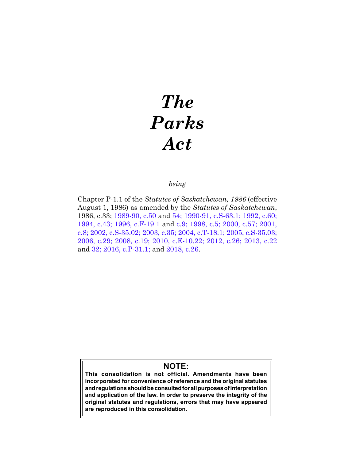# *The Parks Act*

# *being*

Chapter P-1.1 of the *Statutes of Saskatchewan, 1986* (effective August 1, 1986) as amended by the *Statutes of Saskatchewan*, 1986, c.33; [1989-90, c.50](https://publications.saskatchewan.ca:443/api/v1/products/24588/formats/31612/download) and [54;](https://publications.saskatchewan.ca:443/api/v1/products/24596/formats/31624/download) [1990-91, c.S-63.1;](https://publications.saskatchewan.ca:443/api/v1/products/24742/formats/31844/download) [1992, c.60](https://publications.saskatchewan.ca:443/api/v1/products/25256/formats/32633/download); [1994, c.43;](https://publications.saskatchewan.ca:443/api/v1/products/69247/formats/76976/download) [1996, c.F-19.1](https://publications.saskatchewan.ca:443/api/v1/products/25382/formats/32880/download) and [c.9](https://publications.saskatchewan.ca:443/api/v1/products/25311/formats/32741/download); [1998, c.5;](https://publications.saskatchewan.ca:443/api/v1/products/3606/formats/6802/download) [2000, c.57](https://publications.saskatchewan.ca:443/api/v1/products/3513/formats/6616/download); [2001,](https://publications.saskatchewan.ca:443/api/v1/products/3392/formats/6375/download)  [c.8;](https://publications.saskatchewan.ca:443/api/v1/products/3392/formats/6375/download) [2002, c.S-35.02;](https://publications.saskatchewan.ca:443/api/v1/products/4286/formats/8162/download) [2003, c.35](https://publications.saskatchewan.ca:443/api/v1/products/4498/formats/8577/download); [2004, c.T-18.1;](https://publications.saskatchewan.ca:443/api/v1/products/9561/formats/14495/download) [2005, c.S-35.03](https://publications.saskatchewan.ca:443/api/v1/products/10333/formats/15620/download); [2006, c.29](https://publications.saskatchewan.ca:443/api/v1/products/12141/formats/18071/download); [2008, c.19](https://publications.saskatchewan.ca:443/api/v1/products/25126/formats/32382/download); [2010, c.E-10.22;](https://publications.saskatchewan.ca:443/api/v1/products/30313/formats/37303/download) [2012, c.26](https://publications.saskatchewan.ca:443/api/v1/products/64275/formats/71591/download); [2013, c.22](https://publications.saskatchewan.ca:443/api/v1/products/67233/formats/74714/download) an[d 32](https://publications.saskatchewan.ca:443/api/v1/products/67244/formats/74736/download); [2016, c.P-31.1](https://publications.saskatchewan.ca:443/api/v1/products/83915/formats/97084/download); and [2018, c.26](https://publications.saskatchewan.ca:443/api/v1/products/90512/formats/107406/download).

# **NOTE:**

**This consolidation is not official. Amendments have been incorporated for convenience of reference and the original statutes and regulations should be consulted for all purposes of interpretation and application of the law. In order to preserve the integrity of the original statutes and regulations, errors that may have appeared are reproduced in this consolidation.**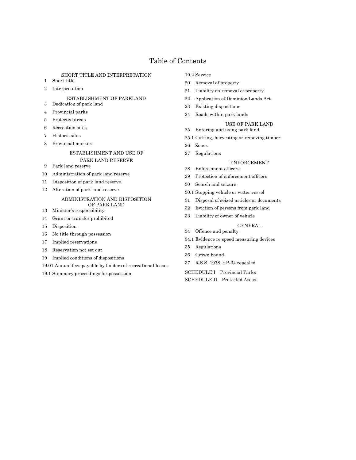# Table of Contents

# SHORT TITLE AND INTERPRETATION

- Short title
- Interpretation

# ESTABLISHMENT OF PARKLAND

- Dedication of park land
- Provincial parks
- Protected areas
- Recreation sites
- Historic sites
- Provincial markers

# ESTABLISHMENT AND USE OF

# PARK LAND RESERVE

- Park land reserve
- Administration of park land reserve
- Disposition of park land reserve
- Alteration of park land reserve

# ADMINISTRATION AND DISPOSITION OF PARK LAND

- Minister's responsibility
- Grant or transfer prohibited
- Disposition
- No title through possession
- Implied reservations
- Reservation not set out
- Implied conditions of dispositions
- 19.01 Annual fees payable by holders of recreational leases
- 19.1 Summary proceedings for possession

# 19.2 Service

- Removal of property
- Liability on removal of property
- Application of Dominion Lands Act
- Existing dispositions
- Roads within park lands
- USE OF PARK LAND
- Entering and using park land
- 25.1 Cutting, harvesting or removing timber
- Zones
- Regulations

# ENFORCEMENT

- 28 Enforcement officers
- 29 Protection of enforcement officers
- Search and seizure
- 30.1 Stopping vehicle or water vessel
- Disposal of seized articles or documents
- Eviction of persons from park land
- Liability of owner of vehicle

# GENERAL

- Offence and penalty
- 34.1 Evidence re speed measuring devices
- Regulations
- Crown bound
- R.S.S. 1978, c.P-34 repealed

SCHEDULE I Provincial Parks SCHEDULE II Protected Areas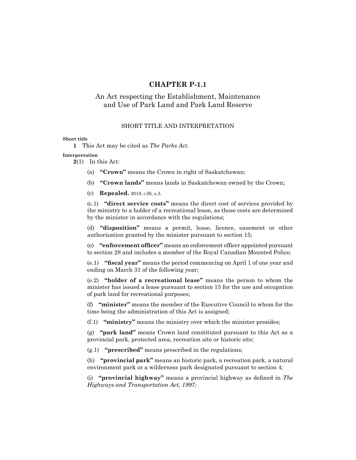# **CHAPTER P-1.1**

# An Act respecting the Establishment, Maintenance and Use of Park Land and Park Land Reserve

# SHORT TITLE AND INTERPRETATION

# **Short title**

**1** This Act may be cited as *The Parks Act*.

# **Interpretation**

**2**(1) In this Act:

- (a) **"Crown"** means the Crown in right of Saskatchewan;
- (b) **"Crown lands"** means lands in Saskatchewan owned by the Crown;

(c) **Repealed.** 2018, c26, s.3.

(c.1) **"direct service costs"** means the direct cost of services provided by the ministry to a holder of a recreational lease, as those costs are determined by the minister in accordance with the regulations;

(d) **"disposition"** means a permit, lease, licence, easement or other authorization granted by the minister pursuant to section 15;

(e) **"enforcement officer"** means an enforcement officer appointed pursuant to section 28 and includes a member of the Royal Canadian Mounted Police;

(e.1) **"fiscal year"** means the period commencing on April 1 of one year and ending on March 31 of the following year;

(e.2) **"holder of a recreational lease"** means the person to whom the minister has issued a lease pursuant to section 15 for the use and occupation of park land for recreational purposes;

(f) **"minister"** means the member of the Executive Council to whom for the time being the administration of this Act is assigned;

(f.1) **"ministry"** means the ministry over which the minister presides;

(g) **"park land"** means Crown land constituted pursuant to this Act as a provincial park, protected area, recreation site or historic site;

(g.1) **"prescribed"** means prescribed in the regulations;

(h) **"provincial park"** means an historic park, a recreation park, a natural environment park or a wilderness park designated pursuant to section 4;

(i) **"provincial highway"** means a provincial highway as defined in *The Highways and Transportation Act, 1997;*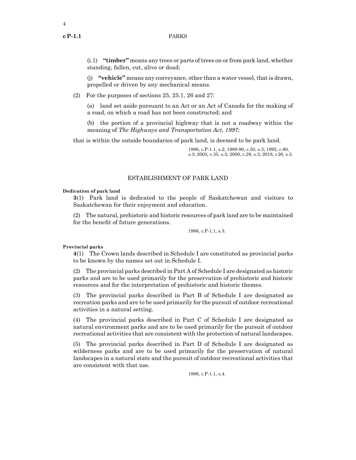4

(i.1) **"timber"** means any trees or parts of trees on or from park land, whether standing, fallen, cut, alive or dead;

(j) **"vehicle"** means any conveyance, other than a water vessel, that is drawn, propelled or driven by any mechanical means.

(2) For the purposes of sections 25, 25.1, 26 and 27:

(a) land set aside pursuant to an Act or an Act of Canada for the making of a road, on which a road has not been constructed; and

(b) the portion of a provincial highway that is not a roadway within the meaning of *The Highways and Transportation Act, 1997*;

that is within the outside boundaries of park land, is deemed to be park land.

1986, c.P-1.1, s.2; 1989-90, c.50, s.3; 1992, c.60, s.3; 2003, c.35, s.3; 2006, c.29, s.3; 2018, c26, s.3.

# ESTABLISHMENT OF PARK LAND

# **Dedication of park land**

**3**(1) Park land is dedicated to the people of Saskatchewan and visitors to Saskatchewan for their enjoyment and education.

(2) The natural, prehistoric and historic resources of park land are to be maintained for the benefit of future generations.

1986, c.P-1.1, s.3.

# **Provincial parks**

**4**(1) The Crown lands described in Schedule I are constituted as provincial parks to be known by the names set out in Schedule I.

(2) The provincial parks described in Part A of Schedule I are designated as historic parks and are to be used primarily for the preservation of prehistoric and historic resources and for the interpretation of prehistoric and historic themes.

(3) The provincial parks described in Part B of Schedule I are designated as recreation parks and are to be used primarily for the pursuit of outdoor recreational activities in a natural setting.

(4) The provincial parks described in Part C of Schedule I are designated as natural environment parks and are to be used primarily for the pursuit of outdoor recreational activities that are consistent with the protection of natural landscapes.

(5) The provincial parks described in Part D of Schedule I are designated as wilderness parks and are to be used primarily for the preservation of natural landscapes in a natural state and the pursuit of outdoor recreational activities that are consistent with that use.

1986, c.P-1.1, s.4.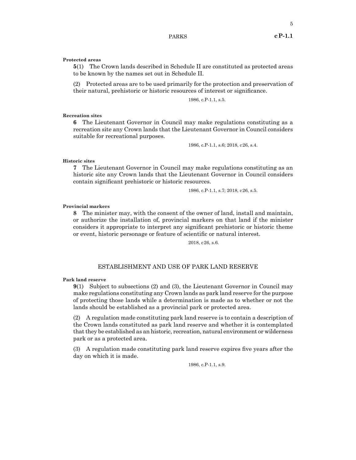**Protected areas**

**5**(1) The Crown lands described in Schedule II are constituted as protected areas to be known by the names set out in Schedule II.

(2) Protected areas are to be used primarily for the protection and preservation of their natural, prehistoric or historic resources of interest or significance.

1986, c.P-1.1, s.5.

**Recreation sites**

**6** The Lieutenant Governor in Council may make regulations constituting as a recreation site any Crown lands that the Lieutenant Governor in Council considers suitable for recreational purposes.

1986, c.P-1.1, s.6; 2018, c26, s.4.

**Historic sites**

**7** The Lieutenant Governor in Council may make regulations constituting as an historic site any Crown lands that the Lieutenant Governor in Council considers contain significant prehistoric or historic resources.

1986, c.P-1.1, s.7; 2018, c26, s.5.

# **Provincial markers**

**8** The minister may, with the consent of the owner of land, install and maintain, or authorize the installation of, provincial markers on that land if the minister considers it appropriate to interpret any significant prehistoric or historic theme or event, historic personage or feature of scientific or natural interest.

2018, c26, s.6.

# ESTABLISHMENT AND USE OF PARK LAND RESERVE

### **Park land reserve**

**9**(1) Subject to subsections (2) and (3), the Lieutenant Governor in Council may make regulations constituting any Crown lands as park land reserve for the purpose of protecting those lands while a determination is made as to whether or not the lands should be established as a provincial park or protected area.

(2) A regulation made constituting park land reserve is to contain a description of the Crown lands constituted as park land reserve and whether it is contemplated that they be established as an historic, recreation, natural environment or wilderness park or as a protected area.

(3) A regulation made constituting park land reserve expires five years after the day on which it is made.

1986, c.P-1.1, s.9.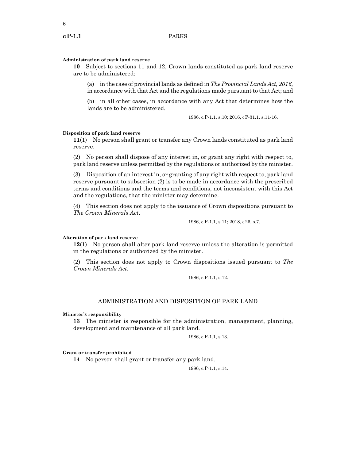6

# **Administration of park land reserve**

**10** Subject to sections 11 and 12, Crown lands constituted as park land reserve are to be administered:

(a) in the case of provincial lands as defined in *The Provincial Lands Act, 2016*, in accordance with that Act and the regulations made pursuant to that Act; and

(b) in all other cases, in accordance with any Act that determines how the lands are to be administered.

1986, c.P-1.1, s.10; 2016, cP-31.1, s.11-16.

# **Disposition of park land reserve**

**11**(1) No person shall grant or transfer any Crown lands constituted as park land reserve.

(2) No person shall dispose of any interest in, or grant any right with respect to, park land reserve unless permitted by the regulations or authorized by the minister.

(3) Disposition of an interest in, or granting of any right with respect to, park land reserve pursuant to subsection (2) is to be made in accordance with the prescribed terms and conditions and the terms and conditions, not inconsistent with this Act and the regulations, that the minister may determine.

(4) This section does not apply to the issuance of Crown dispositions pursuant to *The Crown Minerals Act*.

1986, c.P-1.1, s.11; 2018, c26, s.7.

#### **Alteration of park land reserve**

**12**(1) No person shall alter park land reserve unless the alteration is permitted in the regulations or authorized by the minister.

(2) This section does not apply to Crown dispositions issued pursuant to *The Crown Minerals Act*.

1986, c.P-1.1, s.12.

# ADMINISTRATION AND DISPOSITION OF PARK LAND

#### **Minister's responsibility**

**13** The minister is responsible for the administration, management, planning, development and maintenance of all park land.

1986, c.P-1.1, s.13.

#### **Grant or transfer prohibited**

**14** No person shall grant or transfer any park land.

1986, c.P-1.1, s.14.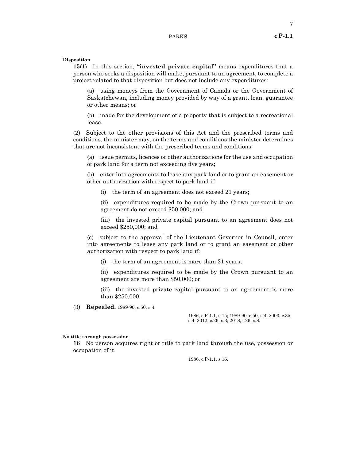# **Disposition**

**15**(1) In this section, **"invested private capital"** means expenditures that a person who seeks a disposition will make, pursuant to an agreement, to complete a project related to that disposition but does not include any expenditures:

(a) using moneys from the Government of Canada or the Government of Saskatchewan, including money provided by way of a grant, loan, guarantee or other means; or

(b) made for the development of a property that is subject to a recreational lease.

(2) Subject to the other provisions of this Act and the prescribed terms and conditions, the minister may, on the terms and conditions the minister determines that are not inconsistent with the prescribed terms and conditions:

(a) issue permits, licences or other authorizations for the use and occupation of park land for a term not exceeding five years;

(b) enter into agreements to lease any park land or to grant an easement or other authorization with respect to park land if:

(i) the term of an agreement does not exceed 21 years;

(ii) expenditures required to be made by the Crown pursuant to an agreement do not exceed \$50,000; and

(iii) the invested private capital pursuant to an agreement does not exceed \$250,000; and

(c) subject to the approval of the Lieutenant Governor in Council, enter into agreements to lease any park land or to grant an easement or other authorization with respect to park land if:

(i) the term of an agreement is more than 21 years;

(ii) expenditures required to be made by the Crown pursuant to an agreement are more than \$50,000; or

(iii) the invested private capital pursuant to an agreement is more than \$250,000.

(3) **Repealed.** 1989-90, c.50, s.4.

1986, c.P-1.1, s.15; 1989-90, c.50, s.4; 2003, c.35, s.4; 2012, c.26, s.3; 2018, c26, s.8.

# **No title through possession**

**16** No person acquires right or title to park land through the use, possession or occupation of it.

1986, c.P-1.1, s.16.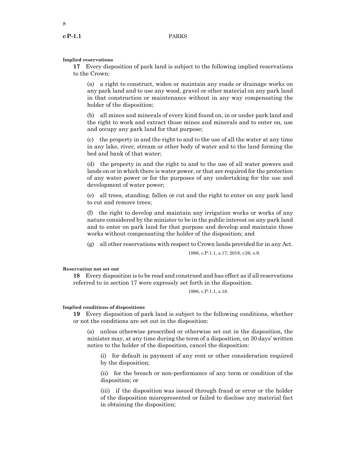# **Implied reservations**

**17** Every disposition of park land is subject to the following implied reservations to the Crown:

(a) a right to construct, widen or maintain any roads or drainage works on any park land and to use any wood, gravel or other material on any park land in that construction or maintenance without in any way compensating the holder of the disposition;

(b) all mines and minerals of every kind found on, in or under park land and the right to work and extract those mines and minerals and to enter on, use and occupy any park land for that purpose;

(c) the property in and the right to and to the use of all the water at any time in any lake, river, stream or other body of water and to the land forming the bed and bank of that water;

(d) the property in and the right to and to the use of all water powers and lands on or in which there is water power, or that are required for the protection of any water power or for the purposes of any undertaking for the use and development of water power;

(e) all trees, standing, fallen or cut and the right to enter on any park land to cut and remove trees;

(f) the right to develop and maintain any irrigation works or works of any nature considered by the minister to be in the public interest on any park land and to enter on park land for that purpose and develop and maintain those works without compensating the holder of the disposition; and

(g) all other reservations with respect to Crown lands provided for in any Act.

1986, c.P-1.1, s.17; 2018, c26, s.9.

# **Reservation not set out**

**18** Every disposition is to be read and construed and has effect as if all reservations referred to in section 17 were expressly set forth in the disposition.

1986, c.P-1.1, s.18.

### **Implied conditions of dispositions**

**19** Every disposition of park land is subject to the following conditions, whether or not the conditions are set out in the disposition:

(a) unless otherwise prescribed or otherwise set out in the disposition, the minister may, at any time during the term of a disposition, on 30 days' written notice to the holder of the disposition, cancel the disposition:

(i) for default in payment of any rent or other consideration required by the disposition;

(ii) for the breach or non-performance of any term or condition of the disposition; or

(iii) if the disposition was issued through fraud or error or the holder of the disposition misrepresented or failed to disclose any material fact in obtaining the disposition;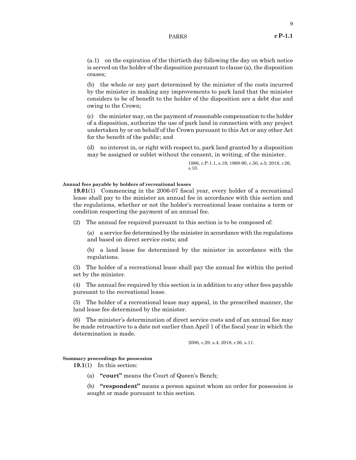9

(a.1) on the expiration of the thirtieth day following the day on which notice is served on the holder of the disposition pursuant to clause (a), the disposition ceases;

(b) the whole or any part determined by the minister of the costs incurred by the minister in making any improvements to park land that the minister considers to be of benefit to the holder of the disposition are a debt due and owing to the Crown;

(c) the minister may, on the payment of reasonable compensation to the holder of a disposition, authorize the use of park land in connection with any project undertaken by or on behalf of the Crown pursuant to this Act or any other Act for the benefit of the public; and

(d) no interest in, or right with respect to, park land granted by a disposition may be assigned or sublet without the consent, in writing, of the minister.

> 1986, c.P-1.1, s.19; 1989-90, c.50, s.5; 2018, c26, s.10.

# **Annual fees payable by holders of recreational leases**

**19.01**(1) Commencing in the 2006-07 fiscal year, every holder of a recreational lease shall pay to the minister an annual fee in accordance with this section and the regulations, whether or not the holder's recreational lease contains a term or condition respecting the payment of an annual fee.

(2) The annual fee required pursuant to this section is to be composed of:

(a) a service fee determined by the minister in accordance with the regulations and based on direct service costs; and

(b) a land lease fee determined by the minister in accordance with the regulations.

(3) The holder of a recreational lease shall pay the annual fee within the period set by the minister.

(4) The annual fee required by this section is in addition to any other fees payable pursuant to the recreational lease.

(5) The holder of a recreational lease may appeal, in the prescribed manner, the land lease fee determined by the minister.

(6) The minister's determination of direct service costs and of an annual fee may be made retroactive to a date not earlier than April 1 of the fiscal year in which the determination is made.

2006, c.29, s.4; 2018, c26, s.11.

# **Summary proceedings for possession**

**19.1**(1) In this section:

(a) **"court"** means the Court of Queen's Bench;

(b) **"respondent"** means a person against whom an order for possession is sought or made pursuant to this section.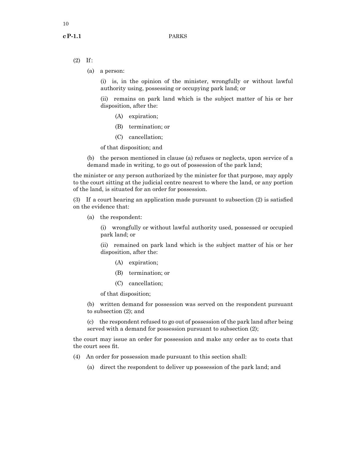- (2) If:
	- (a) a person:

(i) is, in the opinion of the minister, wrongfully or without lawful authority using, possessing or occupying park land; or

(ii) remains on park land which is the subject matter of his or her disposition, after the:

- (A) expiration;
- (B) termination; or
- (C) cancellation;

of that disposition; and

(b) the person mentioned in clause (a) refuses or neglects, upon service of a demand made in writing, to go out of possession of the park land;

the minister or any person authorized by the minister for that purpose, may apply to the court sitting at the judicial centre nearest to where the land, or any portion of the land, is situated for an order for possession.

(3) If  a court hearing an application made pursuant to subsection (2) is satisfied on the evidence that:

(a) the respondent:

(i) wrongfully or without lawful authority used, possessed or occupied park land; or

(ii) remained on park land which is the subject matter of his or her disposition, after the:

- (A) expiration;
- (B) termination; or
- (C) cancellation;

of that disposition;

(b) written demand for possession was served on the respondent pursuant to subsection (2); and

(c) the respondent refused to go out of possession of the park land after being served with a demand for possession pursuant to subsection  $(2)$ ;

the court may issue an order for possession and make any order as to costs that the court sees fit.

- (4) An order for possession made pursuant to this section shall:
	- (a) direct the respondent to deliver up possession of the park land; and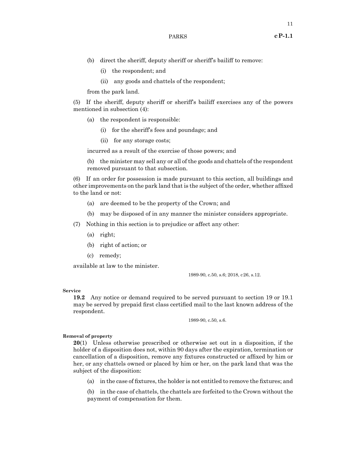- (i) the respondent; and
- (ii) any goods and chattels of the respondent;

from the park land.

(5) If the sheriff, deputy sheriff or sheriff's bailiff exercises any of the powers mentioned in subsection (4):

- (a) the respondent is responsible:
	- (i) for the sheriff's fees and poundage; and
	- (ii) for any storage costs;

incurred as a result of the exercise of those powers; and

(b) the minister may sell any or all of the goods and chattels of the respondent removed pursuant to that subsection.

(6) If an order for possession is made pursuant to this section, all buildings and other improvements on the park land that is the subject of the order, whether affixed to the land or not:

- (a) are deemed to be the property of the Crown; and
- (b) may be disposed of in any manner the minister considers appropriate.

(7) Nothing in this section is to prejudice or affect any other:

- (a) right;
- (b) right of action; or
- (c) remedy;

available at law to the minister.

1989-90, c.50, s.6; 2018, c26, s.12.

# **Service**

**19.2** Any notice or demand required to be served pursuant to section 19 or 19.1 may be served by prepaid first class certified mail to the last known address of the respondent.

1989-90, c.50, s.6.

# **Removal of property**

**20**(1) Unless otherwise prescribed or otherwise set out in a disposition, if the holder of a disposition does not, within 90 days after the expiration, termination or cancellation of a disposition, remove any fixtures constructed or affixed by him or her, or any chattels owned or placed by him or her, on the park land that was the subject of the disposition:

(a) in the case of fixtures, the holder is not entitled to remove the fixtures; and

(b) in the case of chattels, the chattels are forfeited to the Crown without the payment of compensation for them.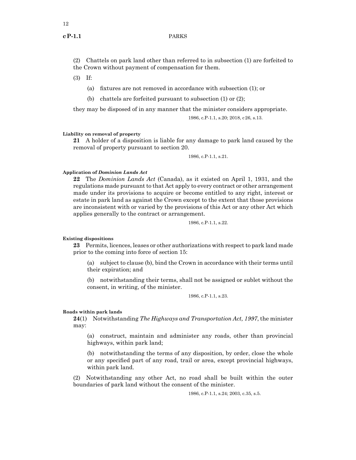(2) Chattels on park land other than referred to in subsection (1) are forfeited to the Crown without payment of compensation for them.

(3) If:

(a) fixtures are not removed in accordance with subsection (1); or

(b) chattels are forfeited pursuant to subsection (1) or (2);

they may be disposed of in any manner that the minister considers appropriate.

1986, c.P-1.1, s.20; 2018, c26, s.13.

# **Liability on removal of property**

**21** A holder of a disposition is liable for any damage to park land caused by the removal of property pursuant to section 20.

1986, c.P-1.1, s.21.

# **Application of** *Dominion Lands Act*

**22** The *Dominion Lands Act* (Canada), as it existed on April 1, 1931, and the regulations made pursuant to that Act apply to every contract or other arrangement made under its provisions to acquire or become entitled to any right, interest or estate in park land as against the Crown except to the extent that those provisions are inconsistent with or varied by the provisions of this Act or any other Act which applies generally to the contract or arrangement.

1986, c.P-1.1, s.22.

# **Existing dispositions**

**23** Permits, licences, leases or other authorizations with respect to park land made prior to the coming into force of section 15:

(a) subject to clause (b), bind the Crown in accordance with their terms until their expiration; and

(b) notwithstanding their terms, shall not be assigned or sublet without the consent, in writing, of the minister.

1986, c.P-1.1, s.23.

### **Roads within park lands**

**24**(1) Notwithstanding *The Highways and Transportation Act, 1997*, the minister may:

(a) construct, maintain and administer any roads, other than provincial highways, within park land;

(b) notwithstanding the terms of any disposition, by order, close the whole or any specified part of any road, trail or area, except provincial highways, within park land.

(2) Notwithstanding any other Act, no road shall be built within the outer boundaries of park land without the consent of the minister.

1986, c.P-1.1, s.24; 2003, c.35, s.5.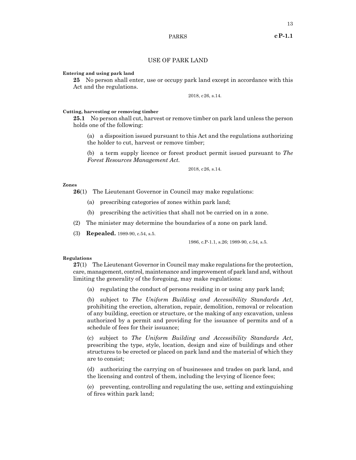# **Entering and using park land**

**25** No person shall enter, use or occupy park land except in accordance with this Act and the regulations.

2018, c26, s.14.

# **Cutting, harvesting or removing timber**

**25.1** No person shall cut, harvest or remove timber on park land unless the person holds one of the following:

(a) a disposition issued pursuant to this Act and the regulations authorizing the holder to cut, harvest or remove timber;

(b) a term supply licence or forest product permit issued pursuant to *The Forest Resources Management Act.*

2018, c26, s.14.

# **Zones**

**26**(1) The Lieutenant Governor in Council may make regulations:

- (a) prescribing categories of zones within park land;
- (b) prescribing the activities that shall not be carried on in a zone.
- (2) The minister may determine the boundaries of a zone on park land.
- (3) **Repealed.** 1989-90, c.54, s.5.

1986, c.P-1.1, s.26; 1989-90, c.54, s.5.

# **Regulations**

**27**(1) The Lieutenant Governor in Council may make regulations for the protection, care, management, control, maintenance and improvement of park land and, without limiting the generality of the foregoing, may make regulations:

(a) regulating the conduct of persons residing in or using any park land;

(b) subject to *The Uniform Building and Accessibility Standards Act*, prohibiting the erection, alteration, repair, demolition, removal or relocation of any building, erection or structure, or the making of any excavation, unless authorized by a permit and providing for the issuance of permits and of a schedule of fees for their issuance;

(c) subject to *The Uniform Building and Accessibility Standards Act*, prescribing the type, style, location, design and size of buildings and other structures to be erected or placed on park land and the material of which they are to consist;

(d) authorizing the carrying on of businesses and trades on park land, and the licensing and control of them, including the levying of licence fees;

(e) preventing, controlling and regulating the use, setting and extinguishing of fires within park land;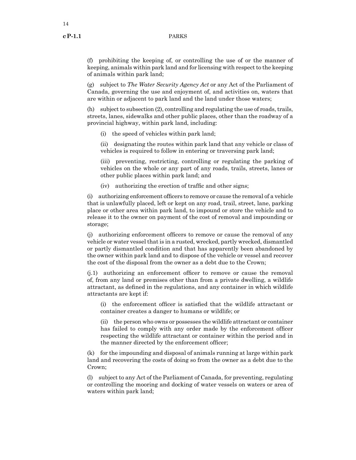(f) prohibiting the keeping of, or controlling the use of or the manner of keeping, animals within park land and for licensing with respect to the keeping of animals within park land;

(g) subject to *The Water Security Agency Act* or any Act of the Parliament of Canada, governing the use and enjoyment of, and activities on, waters that are within or adjacent to park land and the land under those waters;

(h) subject to subsection (2), controlling and regulating the use of roads, trails, streets, lanes, sidewalks and other public places, other than the roadway of a provincial highway, within park land, including:

(i) the speed of vehicles within park land;

(ii) designating the routes within park land that any vehicle or class of vehicles is required to follow in entering or traversing park land;

(iii) preventing, restricting, controlling or regulating the parking of vehicles on the whole or any part of any roads, trails, streets, lanes or other public places within park land; and

(iv) authorizing the erection of traffic and other signs;

(i) authorizing enforcement officers to remove or cause the removal of a vehicle that is unlawfully placed, left or kept on any road, trail, street, lane, parking place or other area within park land, to impound or store the vehicle and to release it to the owner on payment of the cost of removal and impounding or storage;

(j) authorizing enforcement officers to remove or cause the removal of any vehicle or water vessel that is in a rusted, wrecked, partly wrecked, dismantled or partly dismantled condition and that has apparently been abandoned by the owner within park land and to dispose of the vehicle or vessel and recover the cost of the disposal from the owner as a debt due to the Crown;

(j.1) authorizing an enforcement officer to remove or cause the removal of, from any land or premises other than from a private dwelling, a wildlife attractant, as defined in the regulations, and any container in which wildlife attractants are kept if:

(i) the enforcement officer is satisfied that the wildlife attractant or container creates a danger to humans or wildlife; or

(ii) the person who owns or possesses the wildlife attractant or container has failed to comply with any order made by the enforcement officer respecting the wildlife attractant or container within the period and in the manner directed by the enforcement officer;

(k) for the impounding and disposal of animals running at large within park land and recovering the costs of doing so from the owner as a debt due to the Crown;

(l) subject to any Act of the Parliament of Canada, for preventing, regulating or controlling the mooring and docking of water vessels on waters or area of waters within park land;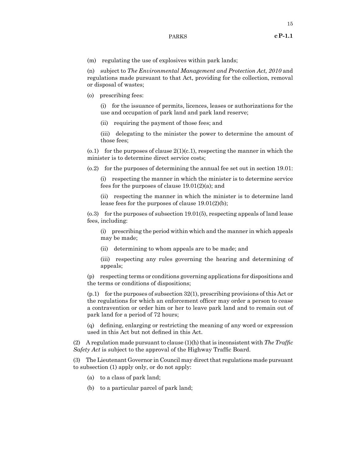(m) regulating the use of explosives within park lands;

(n) subject to *The Environmental Management and Protection Act, 2010* and regulations made pursuant to that Act, providing for the collection, removal or disposal of wastes;

(o) prescribing fees:

(i) for the issuance of permits, licences, leases or authorizations for the use and occupation of park land and park land reserve;

(ii) requiring the payment of those fees; and

(iii) delegating to the minister the power to determine the amount of those fees;

 $(0.1)$  for the purposes of clause  $2(1)(c.1)$ , respecting the manner in which the minister is to determine direct service costs;

(o.2) for the purposes of determining the annual fee set out in section 19.01:

(i) respecting the manner in which the minister is to determine service fees for the purposes of clause 19.01(2)(a); and

(ii) respecting the manner in which the minister is to determine land lease fees for the purposes of clause 19.01(2)(b);

(o.3) for the purposes of subsection 19.01(5), respecting appeals of land lease fees, including:

(i) prescribing the period within which and the manner in which appeals may be made;

(ii) determining to whom appeals are to be made; and

(iii) respecting any rules governing the hearing and determining of appeals;

(p) respecting terms or conditions governing applications for dispositions and the terms or conditions of dispositions;

(p.1) for the purposes of subsection 32(1), prescribing provisions of this Act or the regulations for which an enforcement officer may order a person to cease a contravention or order him or her to leave park land and to remain out of park land for a period of 72 hours;

(q) defining, enlarging or restricting the meaning of any word or expression used in this Act but not defined in this Act.

(2) A regulation made pursuant to clause (1)(h) that is inconsistent with *The Traffic Safety Act* is subject to the approval of the Highway Traffic Board.

(3) The Lieutenant Governor in Council may direct that regulations made pursuant to subsection (1) apply only, or do not apply:

- (a) to a class of park land;
- (b) to a particular parcel of park land;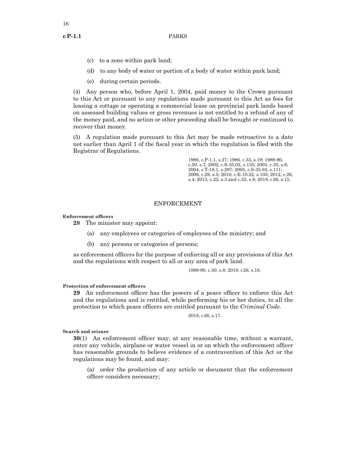- (c) to a zone within park land;
- (d) to any body of water or portion of a body of water within park land;
- (e) during certain periods.

(4) Any person who, before April 1, 2004, paid money to the Crown pursuant to this Act or pursuant to any regulations made pursuant to this Act as fees for leasing a cottage or operating a commercial lease on provincial park lands based on assessed building values or gross revenues is not entitled to a refund of any of the money paid, and no action or other proceeding shall be brought or continued to recover that money.

(5) A regulation made pursuant to this Act may be made retroactive to a date not earlier than April 1 of the fiscal year in which the regulation is filed with the Registrar of Regulations.

> 1986, c.P-1.1, s.27; 1986, c.33, s.19; 1989-90, c.50, s.7; 2002, c.S-35.02, s.135; 2003, c.35, s.6; 2004, c.T-18.1, s.297; 2005, c.S-35.03, s.111; 2006, c.29, s.5; 2010, c.E-10.22, s.105; 2012, c.26, s.4; 2013, c.22, s.3 and c.32, s.8; 2018, c26, s.15.

# ENFORCEMENT

# **Enforcement officers**

**28** The minister may appoint:

- (a) any employees or categories of employees of the ministry; and
- (b) any persons or categories of persons;

as enforcement officers for the purpose of enforcing all or any provisions of this Act and the regulations with respect to all or any area of park land.

1989-90, c.50, s.8; 2018, c26, s.16.

# **Protection of enforcement officers**

**29** An enforcement officer has the powers of a peace officer to enforce this Act and the regulations and is entitled, while performing his or her duties, to all the protection to which peace officers are entitled pursuant to the *Criminal Code.*

2018, c26, s.17.

# **Search and seizure**

**30**(1) An enforcement officer may, at any reasonable time, without a warrant, enter any vehicle, airplane or water vessel in or on which the enforcement officer has reasonable grounds to believe evidence of a contravention of this Act or the regulations may be found, and may:

(a) order the production of any article or document that the enforcement officer considers necessary;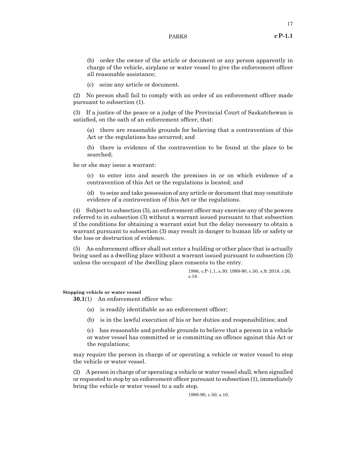(b) order the owner of the article or document or any person apparently in charge of the vehicle, airplane or water vessel to give the enforcement officer all reasonable assistance;

(c) seize any article or document.

(2) No person shall fail to comply with an order of an enforcement officer made pursuant to subsection (1).

(3) If a justice of the peace or a judge of the Provincial Court of Saskatchewan is satisfied, on the oath of an enforcement officer, that:

(a) there are reasonable grounds for believing that a contravention of this Act or the regulations has occurred; and

(b) there is evidence of the contravention to be found at the place to be searched;

he or she may issue a warrant:

(c) to enter into and search the premises in or on which evidence of a contravention of this Act or the regulations is located; and

(d) to seize and take possession of any article or document that may constitute evidence of a contravention of this Act or the regulations.

(4) Subject to subsection (5), an enforcement officer may exercise any of the powers referred to in subsection (3) without a warrant issued pursuant to that subsection if the conditions for obtaining a warrant exist but the delay necessary to obtain a warrant pursuant to subsection (3) may result in danger to human life or safety or the loss or destruction of evidence.

(5) An enforcement officer shall not enter a building or other place that is actually being used as a dwelling place without a warrant issued pursuant to subsection (3) unless the occupant of the dwelling place consents to the entry.

> 1986, c.P-1.1, s.30; 1989-90, c.50, s.9; 2018, c26, s.18.

#### **Stopping vehicle or water vessel**

**30.1**(1) An enforcement officer who:

- (a) is readily identifiable as an enforcement officer;
- (b) is in the lawful execution of his or her duties and responsibilities; and

(c) has reasonable and probable grounds to believe that a person in a vehicle or water vessel has committed or is committing an offence against this Act or the regulations;

may require the person in charge of or operating a vehicle or water vessel to stop the vehicle or water vessel.

(2) A person in charge of or operating a vehicle or water vessel shall, when signalled or requested to stop by an enforcement officer pursuantto subsection (1), immediately bring the vehicle or water vessel to a safe stop.

1989-90, c.50, s.10.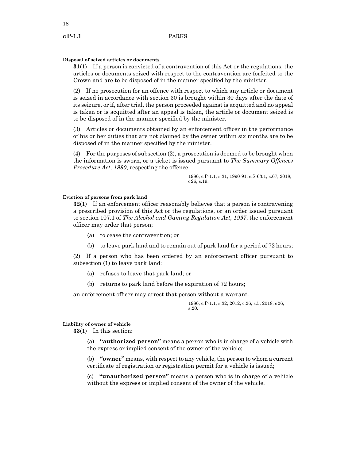# **Disposal of seized articles or documents**

**31**(1) If a person is convicted of a contravention of this Act or the regulations, the articles or documents seized with respect to the contravention are forfeited to the Crown and are to be disposed of in the manner specified by the minister.

(2) If no prosecution for an offence with respect to which any article or document is seized in accordance with section 30 is brought within 30 days after the date of its seizure, or if, after trial, the person proceeded against is acquitted and no appeal is taken or is acquitted after an appeal is taken, the article or document seized is to be disposed of in the manner specified by the minister.

(3) Articles or documents obtained by an enforcement officer in the performance of his or her duties that are not claimed by the owner within six months are to be disposed of in the manner specified by the minister.

(4) For the purposes of subsection (2), a prosecution is deemed to be brought when the information is sworn, or a ticket is issued pursuant to *The Summary Offences Procedure Act, 1990*, respecting the offence.

> 1986, c.P-1.1, s.31; 1990-91, c.S-63.1, s.67; 2018, c26, s.19.

# **Eviction of persons from park land**

**32**(1) If an enforcement officer reasonably believes that a person is contravening a prescribed provision of this Act or the regulations, or an order issued pursuant to section 107.1 of *The Alcohol and Gaming Regulation Act, 1997*, the enforcement officer may order that person;

- (a) to cease the contravention; or
- (b) to leave park land and to remain out of park land for a period of 72 hours;

(2) If a person who has been ordered by an enforcement officer pursuant to subsection (1) to leave park land:

- (a) refuses to leave that park land; or
- (b) returns to park land before the expiration of 72 hours;

an enforcement officer may arrest that person without a warrant.

1986, c.P-1.1, s.32; 2012, c.26, s.5; 2018, c26, s.20.

# **Liability of owner of vehicle**

**33**(1) In this section:

(a) **"authorized person"** means a person who is in charge of a vehicle with the express or implied consent of the owner of the vehicle;

(b) **"owner"** means, with respect to any vehicle, the person to whom a current certificate of registration or registration permit for a vehicle is issued;

(c) **"unauthorized person"** means a person who is in charge of a vehicle without the express or implied consent of the owner of the vehicle.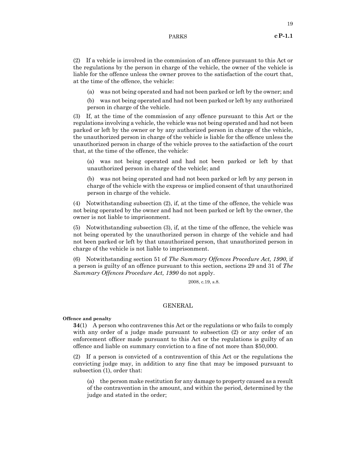(2) If a vehicle is involved in the commission of an offence pursuant to this Act or the regulations by the person in charge of the vehicle, the owner of the vehicle is liable for the offence unless the owner proves to the satisfaction of the court that, at the time of the offence, the vehicle:

(a) was not being operated and had not been parked or left by the owner; and

(b) was not being operated and had not been parked or left by any authorized person in charge of the vehicle.

(3) If, at the time of the commission of any offence pursuant to this Act or the regulations involving a vehicle, the vehicle was not being operated and had not been parked or left by the owner or by any authorized person in charge of the vehicle, the unauthorized person in charge of the vehicle is liable for the offence unless the unauthorized person in charge of the vehicle proves to the satisfaction of the court that, at the time of the offence, the vehicle:

(a) was not being operated and had not been parked or left by that unauthorized person in charge of the vehicle; and

(b) was not being operated and had not been parked or left by any person in charge of the vehicle with the express or implied consent of that unauthorized person in charge of the vehicle.

(4) Notwithstanding subsection (2), if, at the time of the offence, the vehicle was not being operated by the owner and had not been parked or left by the owner, the owner is not liable to imprisonment.

(5) Notwithstanding subsection (3), if, at the time of the offence, the vehicle was not being operated by the unauthorized person in charge of the vehicle and had not been parked or left by that unauthorized person, that unauthorized person in charge of the vehicle is not liable to imprisonment.

(6) Notwithstanding section 51 of *The Summary Offences Procedure Act, 1990*, if a person is guilty of an offence pursuant to this section, sections 29 and 31 of *The Summary Offences Procedure Act, 1990* do not apply.

2008, c.19, s.8.

# GENERAL

# **Offence and penalty**

**34**(1) A person who contravenes this Act or the regulations or who fails to comply with any order of a judge made pursuant to subsection (2) or any order of an enforcement officer made pursuant to this Act or the regulations is guilty of an offence and liable on summary conviction to a fine of not more than \$50,000.

(2) If a person is convicted of a contravention of this Act or the regulations the convicting judge may, in addition to any fine that may be imposed pursuant to subsection (1), order that:

(a) the person make restitution for any damage to property caused as a result of the contravention in the amount, and within the period, determined by the judge and stated in the order;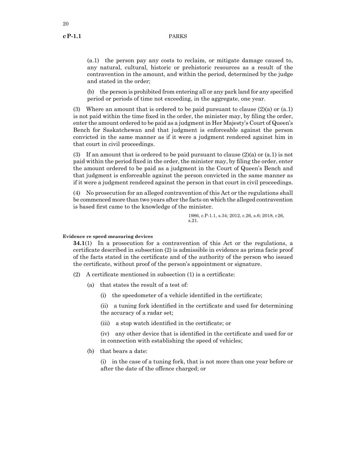(a.1) the person pay any costs to reclaim, or mitigate damage caused to, any natural, cultural, historic or prehistoric resources as a result of the contravention in the amount, and within the period, determined by the judge and stated in the order;

(b) the person is prohibited from entering all or any park land for any specified period or periods of time not exceeding, in the aggregate, one year.

(3) Where an amount that is ordered to be paid pursuant to clause (2)(a) or (a.1) is not paid within the time fixed in the order, the minister may, by filing the order, enter the amount ordered to be paid as a judgment in Her Majesty's Court of Queen's Bench for Saskatchewan and that judgment is enforceable against the person convicted in the same manner as if it were a judgment rendered against him in that court in civil proceedings.

(3) If an amount that is ordered to be paid pursuant to clause  $(2)(a)$  or  $(a,1)$  is not paid within the period fixed in the order, the minister may, by filing the order, enter the amount ordered to be paid as a judgment in the Court of Queen's Bench and that judgment is enforceable against the person convicted in the same manner as if it were a judgment rendered against the person in that court in civil proceedings.

(4) No prosecution for an alleged contravention of this Act or the regulations shall be commenced more than two years after the facts on which the alleged contravention is based first came to the knowledge of the minister.

> 1986, c.P-1.1, s.34; 2012, c.26, s.6; 2018, c26, s.21.

# **Evidence re speed measuring devices**

**34.1**(1) In a prosecution for a contravention of this Act or the regulations, a certificate described in subsection (2) is admissible in evidence as prima facie proof of the facts stated in the certificate and of the authority of the person who issued the certificate, without proof of the person's appointment or signature.

- (2) A certificate mentioned in subsection (1) is a certificate:
	- (a) that states the result of a test of:
		- (i) the speedometer of a vehicle identified in the certificate;

(ii) a tuning fork identified in the certificate and used for determining the accuracy of a radar set;

(iii) a stop watch identified in the certificate; or

(iv) any other device that is identified in the certificate and used for or in connection with establishing the speed of vehicles;

(b) that bears a date:

(i) in the case of a tuning fork, that is not more than one year before or after the date of the offence charged; or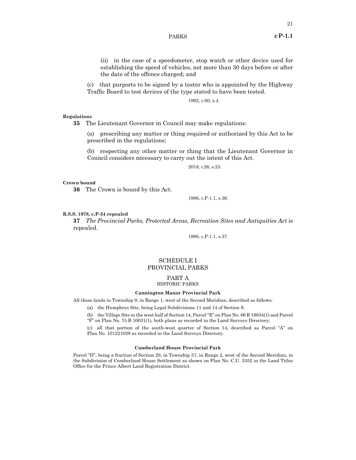(ii) in the case of a speedometer, stop watch or other device used for establishing the speed of vehicles, not more than 30 days before or after the date of the offence charged; and

(c) that purports to be signed by a tester who is appointed by the Highway Traffic Board to test devices of the type stated to have been tested.

1992, c.60, s.4.

# **Regulations**

**35** The Lieutenant Governor in Council may make regulations:

(a) prescribing any matter or thing required or authorized by this Act to be prescribed in the regulations;

(b) respecting any other matter or thing that the Lieutenant Governor in Council considers necessary to carry out the intent of this Act.

2018, c26, s.23.

# **Crown bound**

**36** The Crown is bound by this Act.

1986, c.P-1.1, s.36.

### **R.S.S. 1978, c.P-34 repealed**

**37** *The Provincial Parks, Protected Areas, Recreation Sites and Antiquities Act* is repealed.

1986, c.P-1.1, s.37.

# SCHEDULE I PROVINCIAL PARKS

# PART A HISTORIC PARKS

# **Cannington Manor Provincial Park**

All those lands in Township 9, in Range 1, west of the Second Meridian, described as follows:

(a) the Humphrys Site, being Legal Subdivisions 11 and 14 of Section 9;

(b) the Village Site in the west half of Section 14, Parcel "E" on Plan No. 66 R 19834(1) and Parcel "F" on Plan No. 75 R 10031(1), both plans as recorded in the Land Surveys Directory;

(c) all that portion of the south-west quarter of Section 14, described as Parcel "A" on Plan No. 101221029 as recorded in the Land Surveys Directory.

### **Cumberland House Provincial Park**

Parcel "D", being a fraction of Section 29, in Township 57, in Range 2, west of the Second Meridian, in the Subdivision of Cumberland House Settlement as shown on Plan No. C.U. 5352 in the Land Titles Office for the Prince Albert Land Registration District.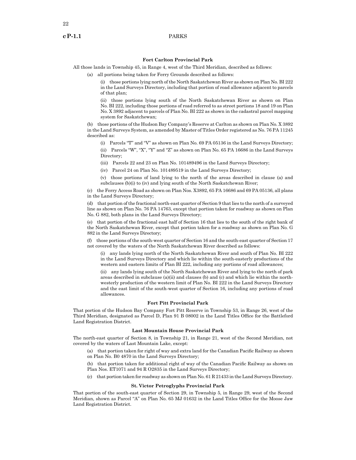# **Fort Carlton Provincial Park**

All those lands in Township 45, in Range 4, west of the Third Meridian, described as follows:

(a) all portions being taken for Ferry Grounds described as follows:

(i) those portions lying north of the North Saskatchewan River as shown on Plan No. BI 222 in the Land Surveys Directory, including that portion of road allowance adjacent to parcels of that plan;

(ii) those portions lying south of the North Saskatchewan River as shown on Plan No. BI 222, including those portions of road referred to as street portions 18 and 19 on Plan No. X 3892 adjacent to parcels of Plan No. BI 222 as shown in the cadastral parcel mapping system for Saskatchewan;

(b) those portions of the Hudson Bay Company's Reserve at Carlton as shown on Plan No. X 3892 in the Land Surveys System, as amended by Master of Titles Order registered as No. 76 PA 11245 described as:

(i) Parcels "T" and "V" as shown on Plan No. 69 PA 05136 in the Land Surveys Directory;

(ii) Parcels "W", "X", "Y" and "Z" as shown on Plan No. 65 PA 16686 in the Land Surveys Directory;

(iii) Parcels 22 and 23 on Plan No. 101489496 in the Land Surveys Directory;

(iv) Parcel 24 on Plan No. 101489519 in the Land Surveys Directory;

(v) those portions of land lying to the north of the areas described in clause (a) and subclauses (b)(i) to (iv) and lying south of the North Saskatchewan River;

(c) the Ferry Access Road as shown on Plan Nos. X3892, 65 PA 16686 and 69 PA 05136, all plans in the Land Surveys Directory;

(d) that portion of the fractional north-east quarter of Section 9 that lies to the north of a surveyed line as shown on Plan No. 76 PA 14763, except that portion taken for roadway as shown on Plan No. G 882, both plans in the Land Surveys Directory;

(e) that portion of the fractional east half of Section 16 that lies to the south of the right bank of the North Saskatchewan River, except that portion taken for a roadway as shown on Plan No. G 882 in the Land Surveys Directory;

(f) those portions of the south-west quarter of Section 16 and the south-east quarter of Section 17 not covered by the waters of the North Saskatchewan River described as follows:

(i) any lands lying north of the North Saskatchewan River and south of Plan No. BI 222 in the Land Surveys Directory and which lie within the south-easterly productions of the western and eastern limits of Plan BI 222, including any portions of road allowances;

(ii) any lands lying south of the North Saskatchewan River and lying to the north of park areas described in subclause (a)(ii) and clauses (b) and (c) and which lie within the northwesterly production of the western limit of Plan No. BI 222 in the Land Surveys Directory and the east limit of the south-west quarter of Section 16, including any portions of road allowances.

# **Fort Pitt Provincial Park**

That portion of the Hudson Bay Company Fort Pitt Reserve in Township 53, in Range 26, west of the Third Meridian, designated as Parcel D, Plan 91 B 08002 in the Land Titles Office for the Battleford Land Registration District.

#### **Last Mountain House Provincial Park**

The north-east quarter of Section 8, in Township 21, in Range 21, west of the Second Meridian, not covered by the waters of Last Mountain Lake, except:

(a) that portion taken for right of way and extra land for the Canadian Pacific Railway as shown on Plan No. B0 4870 in the Land Surveys Directory;

(b) that portion taken for additional right of way of the Canadian Pacific Railway as shown on Plan Nos. ET1071 and 94 R O2835 in the Land Surveys Directory;

(c) that portion taken for roadway as shown on Plan No. 61 R 21433 in the Land Surveys Directory.

#### **St. Victor Petroglyphs Provincial Park**

That portion of the south-east quarter of Section 29, in Township 5, in Range 29, west of the Second Meridian, shown as Parcel "A" on Plan No. 65 MJ 01632 in the Land Titles Office for the Moose Jaw Land Registration District.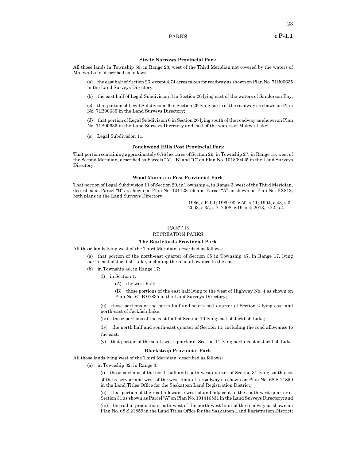23

### **Steele Narrows Provincial Park**

All those lands in Township 58, in Range 23, west of the Third Meridian not covered by the waters of Makwa Lake, described as follows:

(a) the east half of Section 26, except 4.74 acres taken for roadway as shown on Plan No. 71B00635 in the Land Surveys Directory;

(b) the east half of Legal Subdivision 3 in Section 26 lying east of the waters of Sanderson Bay;

(c) that portion of Legal Subdivision 6 in Section 26 lying north of the roadway as shown on Plan No. 71B00635 in the Land Surveys Directory;

(d) that portion of Legal Subdivision 6 in Section 26 lying south of the roadway as shown on Plan No. 71B00635 in the Land Surveys Directory and east of the waters of Makwa Lake;

(e) Legal Subdivision 11.

### **Touchwood Hills Post Provincial Park**

That portion containing approximately 6.76 hectares of Section 29, in Township 27, in Range 15, west of the Second Meridian, described as Parcels "A", "B" and "C" on Plan No. 101809425 in the Land Surveys Directory.

### **Wood Mountain Post Provincial Park**

That portion of Legal Subdivision 11 of Section 20, in Township 4, in Range 3, west of the Third Meridian, described as Parcel "B" as shown on Plan No. 101128159 and Parcel "A" as shown on Plan No. EX812, both plans in the Land Surveys Directory.

> 1986, c.P-1.1; 1989-90, c.50, s.11; 1994, c.43, s.3; 2003, c.35, s.7; 2008, c.19, s.4; 2013, c.22, s.4.

#### PART B

# RECREATION PARKS

# **The Battlefords Provincial Park**

All those lands lying west of the Third Meridian, described as follows:

(a) that portion of the north-east quarter of Section 35 in Township 47, in Range 17, lying north‑east of Jackfish Lake, including the road allowance to the east;

- (b) in Township 48, in Range 17:
	- (i) in Section 1:
		- (A) the west half;

(B) those portions of the east half lying to the west of Highway No. 4 as shown on Plan No. 61 B 07835 in the Land Surveys Directory;

(ii) those portions of the north half and south-east quarter of Section 2 lying east and north-east of Jackfish Lake;

(iii) those portions of the east half of Section 10 lying east of Jackfish Lake;

(iv) the north half and south-east quarter of Section 11, including the road allowance to the east;

(v) that portion of the south-west quarter of Section 11 lying north-east of Jackfish Lake.

#### **Blackstrap Provincial Park**

All those lands lying west of the Third Meridian, described as follows:

(a) in Township 32, in Range 3:

(i) those portions of the north half and south-west quarter of Section 31 lying south-east of the reservoir and west of the west limit of a roadway as shown on Plan No. 68 S 21859 in the Land Titles Office for the Saskatoon Land Registration District;

(ii) that portion of the road allowance west of and adjacent to the south-west quarter of Section 31 as shown as Parcel "A" on Plan No. 101416531 in the Land Surveys Directory; and (iii) the radial production south-west of the north-west limit of the roadway as shown on Plan No. 68 S 21859 in the Land Titles Office for the Saskatoon Land Registration District;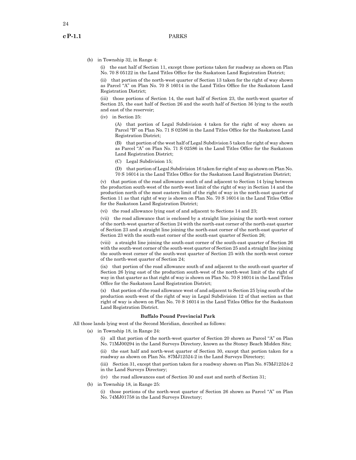(b) in Township 32, in Range 4:

(i) the east half of Section 11, except those portions taken for roadway as shown on Plan No. 70 S 05122 in the Land Titles Office for the Saskatoon Land Registration District;

(ii) that portion of the north-west quarter of Section 13 taken for the right of way shown as Parcel "A" on Plan No. 70 S 16014 in the Land Titles Office for the Saskatoon Land Registration District;

(iii) those portions of Section 14, the east half of Section 23, the north-west quarter of Section 25, the east half of Section 26 and the south half of Section 36 lying to the south and east of the reservoir;

(iv) in Section 25:

(A) that portion of Legal Subdivision 4 taken for the right of way shown as Parcel "B" on Plan No. 71 S 02586 in the Land Titles Office for the Saskatoon Land Registration District;

(B) that portion of the west half of Legal Subdivision 5 taken for right of way shown as Parcel "A" on Plan No. 71 S 02586 in the Land Titles Office for the Saskatoon Land Registration District;

- (C) Legal Subdivision 15;
- (D) that portion of Legal Subdivision 16 taken for right of way as shown on Plan No. 70 S 16014 in the Land Titles Office for the Saskatoon Land Registration District;

(v) that portion of the road allowance south of and adjacent to Section 14 lying between the production south-west of the north-west limit of the right of way in Section 14 and the production north of the most eastern limit of the right of way in the north-east quarter of Section 11 as that right of way is shown on Plan No. 70 S 16014 in the Land Titles Office for the Saskatoon Land Registration District;

(vi) the road allowance lying east of and adjacent to Sections 14 and 23;

(vii) the road allowance that is enclosed by a straight line joining the north-west corner of the north-west quarter of Section 24 with the north-east corner of the north-east quarter of Section 23 and a straight line joining the north-east corner of the north-east quarter of Section 23 with the south-east corner of the south-east quarter of Section 26;

(viii) a straight line joining the south-east corner of the south-east quarter of Section 26 with the south-west corner of the south-west quarter of Section 25 and a straight line joining the south-west corner of the south-west quarter of Section 25 with the north-west corner of the north-west quarter of Section 24;

(ix) that portion of the road allowance south of and adjacent to the south-east quarter of Section 26 lying east of the production south-west of the north-west limit of the right of way in that quarter as that right of way is shown on Plan No. 70 S 16014 in the Land Titles Office for the Saskatoon Land Registration District;

(x) that portion of the road allowance west of and adjacent to Section 25 lying south of the production south-west of the right of way in Legal Subdivision 12 of that section as that right of way is shown on Plan No. 70 S 16014 in the Land Titles Office for the Saskatoon Land Registration District.

#### **Buffalo Pound Provincial Park**

All those lands lying west of the Second Meridian, described as follows:

(a) in Township 18, in Range 24:

(i) all that portion of the north-west quarter of Section 20 shown as Parcel "A" on Plan No. 71MJ00294 in the Land Surveys Directory, known as the Stoney Beach Midden Site;

(ii) the east half and north-west quarter of Section 30, except that portion taken for a roadway as shown on Plan No. 87MJ12524-2 in the Land Surveys Directory;

(iii) Section 31, except that portion taken for a roadway shown on Plan No. 87MJ12524-2 in the Land Surveys Directory;

- (iv) the road allowances east of Section 30 and east and north of Section 31;
- (b) in Township 18, in Range 25:

(i) those portions of the north-west quarter of Section 26 shown as Parcel "A" on Plan No. 74MJ01758 in the Land Surveys Directory;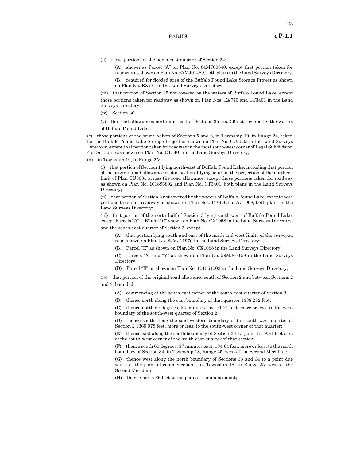(ii) those portions of the north-east quarter of Section 34:

(A) shown as Parcel "A" on Plan No. 64MJ00840, except that portion taken for roadway as shown on Plan No. 67MJ01489, both plans in the Land Surveys Directory;

(B) required for flooded area of the Buffalo Pound Lake Storage Project as shown on Plan No. EX774 in the Land Surveys Directory;

(iii) that portion of Section 35 not covered by the waters of Buffalo Pound Lake, except those portions taken for roadway as shown on Plan Nos. EX770 and CT3401 in the Land Surveys Directory;

(iv) Section 36;

(v) the road allowances north and east of Sections 35 and 36 not covered by the waters of Buffalo Pound Lake;

(c) those portions of the south halves of Sections 5 and 6, in Township 19, in Range 24, taken for the Buffalo Pound Lake Storage Project as shown on Plan No. CU3035 in the Land Surveys Directory, except that portion taken for roadway in the most south-west corner of Legal Subdivision 4 of Section 6 as shown on Plan No. CT3401 in the Land Surveys Directory;

(d) in Township 19, in Range 25:

(i) that portion of Section 1 lying north-east of Buffalo Pound Lake, including that portion of the original road allowance east of section 1 lying south of the projection of the northern limit of Plan CU3035 across the road allowance, except those portions taken for roadway as shown on Plan No. 101896892 and Plan No. CT3401, both plans in the Land Surveys Directory;

(ii) that portion of Section 2 not covered by the waters of Buffalo Pound Lake, except those portions taken for roadway as shown on Plan Nos. P1068 and AC1008, both plans in the Land Surveys Directory;

(iii) that portion of the north half of Section 3 lying south-west of Buffalo Pound Lake, except Parcels "A" , "B" and "C" shown on Plan No. CX1058 in the Land Surveys Directory, and the south-east quarter of Section 3, except:

(A) that portion lying south and east of the north and west limits of the surveyed road shown on Plan No. 84MJ11970 in the Land Surveys Directory;

(B) Parcel "E" as shown on Plan No. CX1058 in the Land Surveys Directory;

(C) Parcels "X" and "Y" as shown on Plan No. 59MJ07158 in the Land Surveys Directory;

(D) Parcel "B" as shown on Plan No. 101551003 in the Land Surveys Directory;

(iv) that portion of the original road allowance south of Section 2 and between Sections 2 and 3, bounded:

(A) commencing at the south-east corner of the south-east quarter of Section 3;

(B) thence north along the east boundary of that quarter 1338.282 feet;

(C) thence north 67 degrees, 55 minutes east 71.21 feet, more or less, to the west boundary of the south-west quarter of Section 2;

(D) thence south along the said western boundary of the south-west quarter of Section 2 1365.078 feet, more or less, to the south-west corner of that quarter;

(E) thence east along the south boundary of Section 2 to a point 1519.81 feet east of the south-west corner of the south-east quarter of that section;

(F) thence south 60 degrees, 37 minutes east, 134.64 feet, more or less, to the north boundary of Section 34, in Township 18, Range 25, west of the Second Meridian;

(G) thence west along the north boundary of Sections 33 and 34 to a point due south of the point of commencement, in Township 18, in Range 25, west of the Second Meridian;

(H) thence north 66 feet to the point of commencement;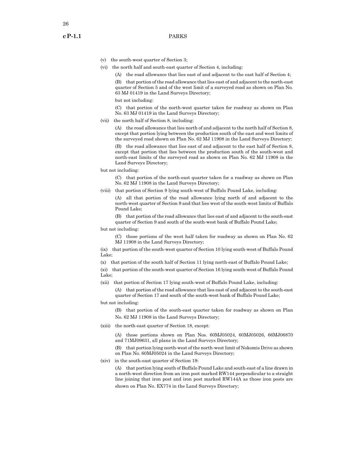26

- (v) the south-west quarter of Section 3;
- (vi) the north half and south-east quarter of Section 4, including:
	- (A) the road allowance that lies east of and adjacent to the east half of Section 4;

(B) that portion of the road allowance that lies east of and adjacent to the north-east quarter of Section 5 and of the west limit of a surveyed road as shown on Plan No. 63 MJ 01419 in the Land Surveys Directory;

but not including:

(C) that portion of the north-west quarter taken for roadway as shown on Plan No. 63 MJ 01419 in the Land Surveys Directory;

(vii) the north half of Section 8, including:

(A) the road allowance that lies north of and adjacent to the north half of Section 8, except that portion lying between the production south of the east and west limits of the surveyed road shown on Plan No. 62 MJ 11908 in the Land Surveys Directory;

(B) the road allowance that lies east of and adjacent to the east half of Section 8, except that portion that lies between the production south of the south-west and north-east limits of the surveyed road as shown on Plan No. 62 MJ 11908 in the Land Surveys Directory;

but not including:

(C) that portion of the north-east quarter taken for a roadway as shown on Plan No. 62 MJ 11908 in the Land Surveys Directory;

(viii) that portion of Section 9 lying south-west of Buffalo Pound Lake, including:

(A) all that portion of the road allowance lying north of and adjacent to the north-west quarter of Section 9 and that lies west of the south-west limits of Buffalo Pound Lake;

(B) that portion of the road allowance that lies east of and adjacent to the south-east quarter of Section 9 and south of the south-west bank of Buffalo Pound Lake;

- but not including:
	- (C) those portions of the west half taken for roadway as shown on Plan No. 62 MJ 11908 in the Land Surveys Directory;

(ix) that portion of the south-west quarter of Section 10 lying south-west of Buffalo Pound Lake;

(x) that portion of the south half of Section 11 lying north-east of Buffalo Pound Lake;

(xi) that portion of the south-west quarter of Section 16 lying south-west of Buffalo Pound Lake;

(xii) that portion of Section 17 lying south-west of Buffalo Pound Lake, including:

(A) that portion of the road allowance that lies east of and adjacent to the south-east quarter of Section 17 and south of the south-west bank of Buffalo Pound Lake;

but not including:

(B) that portion of the south-east quarter taken for roadway as shown on Plan No. 62 MJ 11908 in the Land Surveys Directory;

(xiii) the north-east quarter of Section 18, except:

(A) those portions shown on Plan Nos. 60MJ05024, 60MJ05026, 66MJ06870 and 71MJ09631, all plans in the Land Surveys Directory;

(B) that portion lying north-west of the north-west limit of Nokomis Drive as shown on Plan No. 60MJ05024 in the Land Surveys Directory;

(xiv) in the south-east quarter of Section 19:

(A) that portion lying south of Buffalo Pound Lake and south-east of a line drawn in a north-west direction from an iron post marked RW144 perpendicular to a straight line joining that iron post and iron post marked RW144A as those iron posts are shown on Plan No. EX774 in the Land Surveys Directory;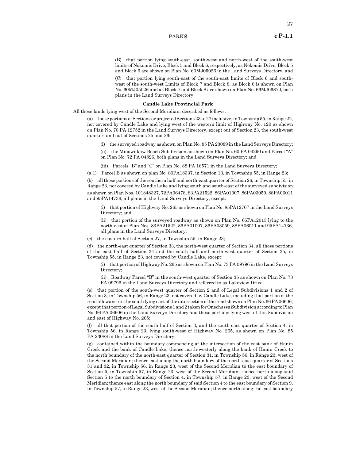(B) that portion lying south-east, south-west and north-west of the south-west limits of Nokomis Drive, Block 5 and Block 6, respectively, as Nokomis Drive, Block 5 and Block 6 are shown on Plan No. 60MJ05026 in the Land Surveys Directory; and

(C) that portion lying south-east of the south-east limits of Block 6 and southwest of the south-west Limits of Block 7 and Block 8, as Block 6 is shown on Plan No. 60MJ05026 and as Block 7 and Block 8 are shown on Plan No. 66MJ06870, both plans in the Land Surveys Directory.

### **Candle Lake Provincial Park**

All those lands lying west of the Second Meridian, described as follows:

(a) those portions of Sections or projected Sections 23 to 27 inclusive, in Township 55, in Range 22, not covered by Candle Lake and lying west of the western limit of Highway No. 120 as shown on Plan No. 70 PA 12752 in the Land Surveys Directory, except out of Section 23, the south-west quarter, and out of Sections 25 and 26:

(i) the surveyed roadway as shown on Plan No. 85 PA 23089 in the Land Surveys Directory;

(ii) the Minowukaw Beach Subdivision as shown on Plan No. 60 PA 04290 and Parcel "A" on Plan No. 72 PA 04826, both plans in the Land Surveys Directory; and

(iii) Parcels "B" and "C" on Plan No. 88 PA 16571 in the Land Surveys Directory;

(a.1) Parcel B as shown on plan No. 80PA18337, in Section 13, in Township 55, in Range 23;

(b) all those portions of the southern half and north-east quarter of Section 26, in Township 55, in Range 23, not covered by Candle Lake and lying south and south-east of the surveyed subdivision as shown on Plan Nos. 101848327, 72PA06478, 83PA21522, 86PA01007, 86PA03059, 88PA06011 and 95PA14736, all plans in the Land Surveys Directory, except:

(i) that portion of Highway No. 265 as shown on Plan No. 85PA12767 in the Land Surveys Directory; and

(ii) that portion of the surveyed roadway as shown on Plan No. 65PA12013 lying to the north-east of Plan Nos. 83PA21522, 86PA01007, 86PA03059, 88PA06011 and 95PA14736, all plans in the Land Surveys Directory;

(c) the eastern half of Section 27, in Township 55, in Range 23;

(d) the north-east quarter of Section 33, the north-west quarter of Section 34, all those portions of the east half of Section 34 and the south half and north-west quarter of Section 35, in Township 55, in Range 23, not covered by Candle Lake, except:

(i) that portion of Highway No. 265 as shown on Plan No. 73 PA 09796 in the Land Surveys Directory;

(ii) Roadway Parcel "B" in the south-west quarter of Section 35 as shown on Plan No. 73 PA 09796 in the Land Surveys Directory and referred to as Lakeview Drive;

(e) that portion of the south-west quarter of Section 2 and of Legal Subdivisions 1 and 2 of Section 3, in Township 56, in Range 23, not covered by Candle Lake, including that portion of the road allowance to the south lying east of the intersection of the road shown on Plan No. 66PA 06606, except that portion of Legal Subdivisions 1 and 2 taken for Onechassa Subdivision according to Plan No. 66 PA 06606 in the Land Surveys Directory and those portions lying west of this Subdivision and east of Highway No. 265;

(f) all that portion of the south half of Section 3, and the south-east quarter of Section 4, in Township 56, in Range 23, lying south-west of Highway No. 265, as shown on Plan No. 85 PA 23088 in the Land Surveys Directory;

(g) contained within the boundary commencing at the intersection of the east bank of Hanin Creek and the bank of Candle Lake; thence north-westerly along the bank of Hanin Creek to the north boundary of the north-east quarter of Section 31, in Township 56, in Range 23, west of the Second Meridian; thence east along the north boundary of the north-east quarter of Sections 31 and 32, in Township 56, in Range 23, west of the Second Meridian to the east boundary of Section 5, in Township 57, in Range 23, west of the Second Meridian; thence north along said Section 5 to the north boundary of Section 4, in Township 57, in Range 23, west of the Second Meridian; thence east along the north boundary of said Section 4 to the east boundary of Section 9, in Township 57, in Range 23, west of the Second Meridian; thence north along the east boundary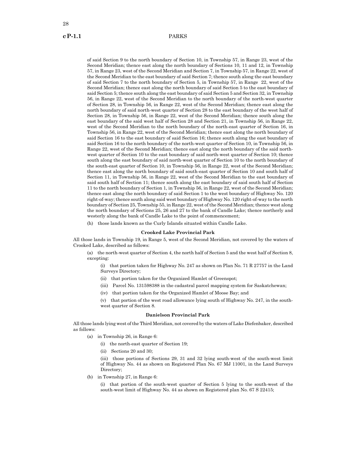of said Section 9 to the north boundary of Section 10, in Township 57, in Range 23, west of the Second Meridian; thence east along the north boundary of Sections 10, 11 and 12, in Township 57, in Range 23, west of the Second Meridian and Section 7, in Township 57, in Range 22, west of the Second Meridian to the east boundary of said Section 7; thence south along the east boundary of said Section 7 to the north boundary of Section 5, in Township 57, in Range 22, west of the Second Meridian; thence east along the north boundary of said Section 5 to the east boundary of said Section 5; thence south along the east boundary of said Section 5 and Section 32, in Township 56, in Range 22, west of the Second Meridian to the north boundary of the north-west quarter of Section 28, in Township 56, in Range 22, west of the Second Meridian; thence east along the north boundary of said north-west quarter of Section 28 to the east boundary of the west half of Section 28, in Township 56, in Range 22, west of the Second Meridian; thence south along the east boundary of the said west half of Section 28 and Section 21, in Township 56, in Range 22, west of the Second Meridian to the north boundary of the north-east quarter of Section 16, in Township 56, in Range 22, west of the Second Meridian; thence east along the north boundary of said Section 16 to the east boundary of said Section 16; thence south along the east boundary of said Section 16 to the north boundary of the north-west quarter of Section 10, in Township 56, in Range 22, west of the Second Meridian; thence east along the north boundary of the said northwest quarter of Section 10 to the east boundary of said north-west quarter of Section 10; thence south along the east boundary of said north-west quarter of Section 10 to the north boundary of the south-east quarter of Section 10, in Township 56, in Range 22, west of the Second Meridian; thence east along the north boundary of said south-east quarter of Section 10 and south half of Section 11, in Township 56, in Range 22, west of the Second Meridian to the east boundary of said south half of Section 11; thence south along the east boundary of said south half of Section 11 to the north boundary of Section 1, in Township 56, in Range 22, west of the Second Meridian; thence east along the north boundary of said Section 1 to the west boundary of Highway No. 120 right-of-way; thence south along said west boundary of Highway No. 120 right-of-way to the north boundary of Section 25, Township 55, in Range 22, west of the Second Meridian; thence west along the north boundary of Sections 25, 26 and 27 to the bank of Candle Lake; thence northerly and westerly along the bank of Candle Lake to the point of commencement;

(h) those lands known as the Curly Islands situated within Candle Lake.

# **Crooked Lake Provincial Park**

All those lands in Township 19, in Range 5, west of the Second Meridian, not covered by the waters of Crooked Lake, described as follows:

(a) the north-west quarter of Section 4, the north half of Section 5 and the west half of Section 8, excepting:

(i) that portion taken for Highway No. 247 as shown on Plan No. 71 R 27757 in the Land Surveys Directory;

- (ii) that portion taken for the Organized Hamlet of Greenspot;
- (iii) Parcel No. 131598388 in the cadastral parcel mapping system for Saskatchewan;

(iv) that portion taken for the Organized Hamlet of Moose Bay; and

(v) that portion of the west road allowance lying south of Highway No. 247, in the southwest quarter of Section 8.

#### **Danielson Provincial Park**

All those lands lying west of the Third Meridian, not covered by the waters of Lake Diefenbaker, described as follows:

- (a) in Township 26, in Range 6:
	- (i) the north-east quarter of Section 19;
	- (ii) Sections 20 and 30;

(iii) those portions of Sections 29, 31 and 32 lying south-west of the south-west limit of Highway No. 44 as shown on Registered Plan No. 67 MJ 11001, in the Land Surveys Directory;

(b) in Township 27, in Range 6:

(i) that portion of the south-west quarter of Section 5 lying to the south-west of the south-west limit of Highway No. 44 as shown on Registered plan No. 67 S 22415;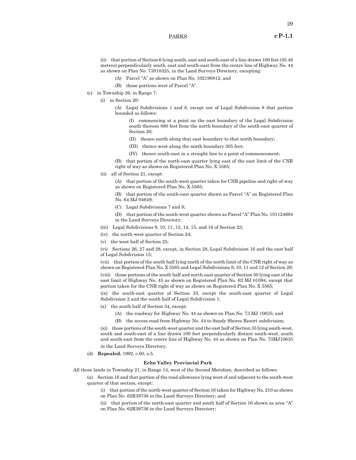(ii) that portion of Section 6 lying south, east and south-east of a line drawn 100 feet (30.48 metres) perpendicularly south, east and south-east from the centre line of Highway No. 44 as shown on Plan No. 73S10325, in the Land Surveys Directory, excepting:

- (A) Parcel "A" as shown on Plan No. 102190812; and
- (B) those portions west of Parcel "A".
- (c) in Township 26, in Range 7:
	- (i) in Section 20:
		- (A) Legal Subdivisions 1 and 8, except out of Legal Subdivision 8 that portion bounded as follows:

(I) commencing at a point on the east boundary of the Legal Subdivision south thereon 880 feet from the north boundary of the south-east quarter of Section 20;

- (II) thence north along that east boundary to that north boundary;
- (III) thence west along the north boundary 305 feet;
- (IV) thence south-east in a straight line to a point of commencement;

(B) that portion of the north-east quarter lying east of the east limit of the CNR right of way as shown on Registered Plan No. X 5565;

(ii) all of Section 21, except:

(A) that portion of the south-west quarter taken for CNR pipeline and right-of-way as shown on Registered Plan No. X 5565;

(B) that portion of the south-east quarter shown as Parcel "A" on Registered Plan No. 64 MJ 04649;

(C) Legal Subdivisions 7 and 8;

(D) that portion of the south-west quarter shown as Parcel "A" Plan No. 101124694 in the Land Surveys Directory;

- (iii) Legal Subdivisions 9, 10, 11, 12, 14, 15, and 16 of Section 23;
- (iv) the north-west quarter of Section 24;
- (v) the west half of Section 25;

(vi) Sections 26, 27 and 28, except, in Section 28, Legal Subdivision 16 and the east half of Legal Subdivision 15;

(vii) that portion of the south half lying north of the north limit of the CNR right of way as shown on Registered Plan No. X 5565 and Legal Subdivisions 9, 10, 11 and 12 of Section 29;

(viii) those portions of the south half and north-east quarter of Section 30 lying east of the east limit of Highway No. 45 as shown on Registered Plan No. 62 MJ 01094, except that portion taken for the CNR right of way as shown on Registered Plan No. X 5565;

(ix) the south-east quarter of Section 33, except the south-east quarter of Legal Subdivision 2 and the south half of Legal Subdivision 1;

- (x) the south half of Section 34, except:
	- (A) the roadway for Highway No. 44 as shown on Plan No. 73 MJ 10635; and
	- (B) the access road from Highway No. 44 to Sandy Shores Resort subdivision;

(xi) those portions of the south-west quarter and the east half of Section 35 lying south-west, south and south-east of a line drawn 100 feet perpendicularly distant south-west, south and south-east from the centre line of Highway No. 44 as shown on Plan No. 73MJ10635 in the Land Surveys Directory.

(d) **Repealed.** 1992, c.60, s.5.

#### **Echo Valley Provincial Park**

All those lands in Township 21, in Range 14, west of the Second Meridian, described as follows:

(a) Section 16 and that portion of the road allowance lying west of and adjacent to the south-west quarter of that section, except:

(i) that portion of the north-west quarter of Section 16 taken for Highway No. 210 as shown on Plan No. 62R39736 in the Land Surveys Directory; and

(ii) that portion of the north-east quarter and south half of Section 16 shown as area "A" on Plan No. 62R39736 in the Land Surveys Directory;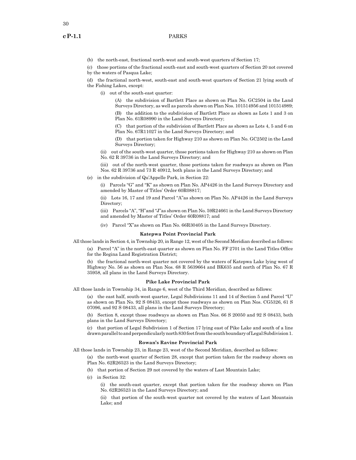30

(b) the north-east, fractional north-west and south-west quarters of Section 17;

(c) those portions of the fractional south-east and south-west quarters of Section 20 not covered by the waters of Pasqua Lake;

(d) the fractional north-west, south-east and south-west quarters of Section 21 lying south of the Fishing Lakes, except:

(i) out of the south-east quarter:

(A) the subdivision of Bartlett Place as shown on Plan No. GC2504 in the Land Surveys Directory, as well as parcels shown on Plan Nos. 101514956 and 101514989;

(B) the addition to the subdivision of Bartlett Place as shown as Lots 1 and 3 on Plan No. 61R08990 in the Land Surveys Directory;

(C) that portion of the subdivision of Bartlett Place as shown as Lots 4, 5 and 6 on Plan No. 67R11027 in the Land Surveys Directory; and

(D) that portion taken for Highway 210 as shown on Plan No. GC2502 in the Land Surveys Directory;

(ii) out of the south-west quarter, those portions taken for Highway 210 as shown on Plan No. 62 R 39736 in the Land Surveys Directory; and

(iii) out of the north-west quarter, those portions taken for roadways as shown on Plan Nos. 62 R 39736 and 73 R 40912, both plans in the Land Surveys Directory; and

(e) in the subdivision of Qu'Appelle Park, in Section 22:

(i) Parcels "G" and "K" as shown on Plan No. AP4426 in the Land Surveys Directory and amended by Master of Titles' Order 60R08817;

(ii) Lots 16, 17 and 19 and Parcel "A"as shown on Plan No. AP4426 in the Land Surveys Directory;

(iii) Parcels "A", "H"and "J"as shown on Plan No. 59R24661 in the Land Surveys Directory and amended by Master of Titles' Order 60R08817; and

(iv) Parcel "X"as shown on Plan No. 66R30405 in the Land Surveys Directory.

#### **Katepwa Point Provincial Park**

All those lands in Section 4, in Township 20, in Range 12, west of the Second Meridian described as follows:

(a) Parcel "A" in the north-east quarter as shown on Plan No. FF 2701 in the Land Titles Office for the Regina Land Registration District;

(b) the fractional north-west quarter not covered by the waters of Katepwa Lake lying west of Highway No. 56 as shown on Plan Nos. 68 R 5639664 and BK635 and north of Plan No. 67 R 35958, all plans in the Land Surveys Directory.

#### **Pike Lake Provincial Park**

All those lands in Township 34, in Range 6, west of the Third Meridian, described as follows:

(a) the east half, south-west quarter, Legal Subdivisions 11 and 14 of Section 5 and Parcel "U" as shown on Plan No. 92 S 08433, except those roadways as shown on Plan Nos. CG5326, 61 S 07096, and 92 S 08433, all plans in the Land Surveys Directory;

(b) Section 8, except those roadways as shown on Plan Nos. 66 S 20050 and 92 S 08433, both plans in the Land Surveys Directory;

(c) that portion of Legal Subdivision 1 of Section 17 lying east of Pike Lake and south of a line drawn parallel to and perpendicularly north 830 feet from the south boundary of Legal Subdivision1.

#### **Rowan's Ravine Provincial Park**

All those lands in Township 23, in Range 23, west of the Second Meridian, described as follows:

(a) the north-west quarter of Section 28, except that portion taken for the roadway shown on Plan No. 62R26523 in the Land Surveys Directory;

- (b) that portion of Section 29 not covered by the waters of Last Mountain Lake;
- (c) in Section 32:

(i) the south-east quarter, except that portion taken for the roadway shown on Plan No. 62R26523 in the Land Surveys Directory; and

(ii) that portion of the south-west quarter not covered by the waters of Last Mountain Lake; and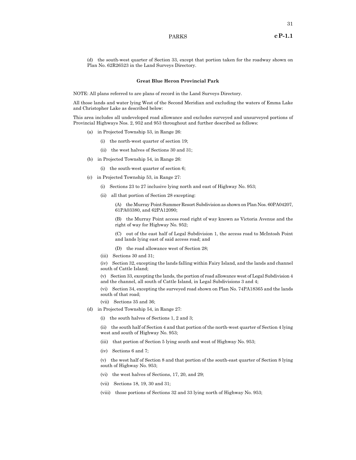(d) the south-west quarter of Section 33, except that portion taken for the roadway shown on Plan No. 62R26523 in the Land Surveys Directory.

#### **Great Blue Heron Provincial Park**

NOTE: All plans referred to are plans of record in the Land Surveys Directory.

All those lands and water lying West of the Second Meridian and excluding the waters of Emma Lake and Christopher Lake as described below:

This area includes all undeveloped road allowance and excludes surveyed and unsurveyed portions of Provincial Highways Nos. 2, 952 and 953 throughout and further described as follows:

- (a) in Projected Township 53, in Range 26:
	- (i) the north-west quarter of section 19;
	- (ii) the west halves of Sections 30 and 31;
- (b) in Projected Township 54, in Range 26:
	- (i) the south-west quarter of section 6;
- (c) in Projected Township 53, in Range 27:
	- (i) Sections 23 to 27 inclusive lying north and east of Highway No. 953;
	- (ii) all that portion of Section 28 excepting:

(A) the Murray Point Summer Resort Subdivision as shown on Plan Nos. 60PA04207, 61PA03380, and 62PA12090;

(B) the Murray Point access road right of way known as Victoria Avenue and the right of way for Highway No. 952;

(C) out of the east half of Legal Subdivision 1, the access road to McIntosh Point and lands lying east of said access road; and

(D) the road allowance west of Section 28;

(iii) Sections 30 and 31;

(iv) Section 32, excepting the lands falling within Fairy Island, and the lands and channel south of Cattle Island;

(v) Section 33, excepting the lands, the portion of road allowance west of Legal Subdivision 4 and the channel, all south of Cattle Island, in Legal Subdivisions 3 and 4;

(vi) Section 34, excepting the surveyed road shown on Plan No. 74PA18365 and the lands south of that road;

- (vii) Sections 35 and 36;
- (d) in Projected Township 54, in Range 27:
	- (i) the south halves of Sections 1, 2 and 3;

(ii) the south half of Section 4 and that portion of the north-west quarter of Section 4 lying west and south of Highway No. 953;

- (iii) that portion of Section 5 lying south and west of Highway No. 953;
- (iv) Sections 6 and 7;

(v) the west half of Section 8 and that portion of the south-east quarter of Section 8 lying south of Highway No. 953;

- (vi) the west halves of Sections, 17, 20, and 29;
- (vii) Sections 18, 19, 30 and 31;
- (viii) those portions of Sections 32 and 33 lying north of Highway No. 953;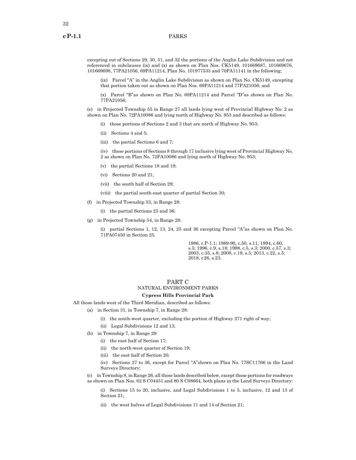excepting out of Sections 29, 30, 31, and 32 the portions of the Anglin Lake Subdivision and not referenced in subclauses (ix) and (x) as shown on Plan Nos. CK5149, 101669687, 101669676, 101669698, 77PA21056, 69PA11214, Plan No. 101977533 and 70PA11141 in the following;

(ix) Parcel "A" in the Anglin Lake Subdivision as shown on Plan No. CK5149, excepting that portion taken out as shown on Plan Nos. 69PA11214 and 77PA21056; and

(x) Parcel "B"as shown on Plan No. 69PA11214 and Parcel "D"as shown on Plan No. 77PA21056;

(e) in Projected Township 55 in Range 27 all lands lying west of Provincial Highway No. 2 as shown on Plan No. 72PA10086 and lying north of Highway No. 953 and described as follows:

- (i) those portions of Sections 2 and 3 that are north of Highway No. 953;
- (ii) Sections 4 and 5;
- (iii) the partial Sections 6 and 7;

(iv) those portions of Sections 8 through 17 inclusive lying west of Provincial Highway No. 2 as shown on Plan No. 72PA10086 and lying north of Highway No. 953;

- (v) the partial Sections 18 and 19;
- (vi) Sections 20 and 21;
- (vii) the south half of Section 29;
- (viii) the partial south-east quarter of partial Section 30;
- (f) in Projected Township 53, in Range 28:
	- (i) the partial Sections 25 and 36;
- (g) in Projected Township 54, in Range 28:

(i) partial Sections 1, 12, 13, 24, 25 and 36 excepting Parcel "A"as shown on Plan No. 71PA07450 in Section 25.

> 1986, c.P-1.1; 1989-90, c.50, s.11; 1994, c.60, s.5; 1996, c.9, s.18; 1998, c.5, s.3; 2000, c.57, s.3; 2003, c.35, s.8; 2008, c.19, s.5; 2013, c.22, s.5; 2018, c26, s.23.

# PART C NATURAL ENVIRONMENT PARKS

# **Cypress Hills Provincial Park**

All those lands west of the Third Meridian, described as follows:

- (a) in Section 31, in Township 7, in Range 28:
	- (i) the south-west quarter, excluding the portion of Highway 271 right of way;
	- (ii) Legal Subdivisions 12 and 13;
- (b) in Township 7, in Range 29:
	- (i) the east half of Section 17;
	- (ii) the north-west quarter of Section 19;
	- (iii) the east half of Section 20;

(iv) Sections 27 to 36, except for Parcel "A"shown on Plan No. 77SC11766 in the Land Surveys Directory;

(c) in Township 8, in Range 26, all those lands described below, except those portions for roadways as shown on Plan Nos. 62 S C04451 and 80 S C08664, both plans in the Land Surveys Directory:

(i) Sections 15 to 20, inclusive, and Legal Subdivisions 1 to 5, inclusive, 12 and 13 of Section 21;

(ii) the west halves of Legal Subdivisions 11 and 14 of Section 21;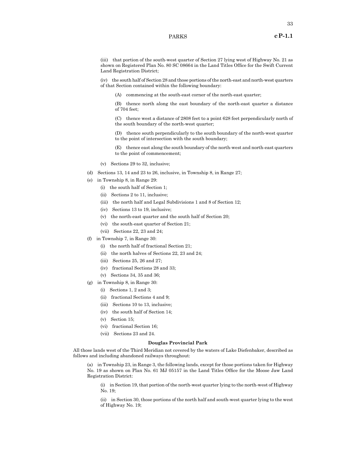(iv) the south half of Section 28 and those portions of the north-east and north-west quarters of that Section contained within the following boundary:

(A) commencing at the south-east corner of the north-east quarter;

(B) thence north along the east boundary of the north-east quarter a distance of 704 feet;

(C) thence west a distance of 2808 feet to a point 628 feet perpendicularly north of the south boundary of the north-west quarter;

(D) thence south perpendicularly to the south boundary of the north-west quarter to the point of intersection with the south boundary;

(E) thence east along the south boundary of the north-west and north-east quarters to the point of commencement;

- (v) Sections 29 to 32, inclusive;
- (d) Sections 13, 14 and 23 to 26, inclusive, in Township 8, in Range 27;
- (e) in Township 8, in Range 29:
	- (i) the south half of Section 1;
	- (ii) Sections 2 to 11, inclusive;
	- (iii) the north half and Legal Subdivisions 1 and 8 of Section 12;
	- (iv) Sections 13 to 19, inclusive;
	- (v) the north-east quarter and the south half of Section 20;
	- (vi) the south-east quarter of Section 21;
	- (vii) Sections 22, 23 and 24;
- (f) in Township 7, in Range 30:
	- (i) the north half of fractional Section 21;
	- (ii) the north halves of Sections 22, 23 and 24;
	- (iii) Sections 25, 26 and 27;
	- (iv) fractional Sections 28 and 33;
	- (v) Sections 34, 35 and 36;
- (g) in Township 8, in Range 30:
	- (i) Sections 1, 2 and 3;
	- (ii) fractional Sections 4 and 9;
	- (iii) Sections 10 to 13, inclusive;
	- (iv) the south half of Section 14;
	- (v) Section 15;
	- (vi) fractional Section 16;
	- (vii) Sections 23 and 24.

#### **Douglas Provincial Park**

All those lands west of the Third Meridian not covered by the waters of Lake Diefenbaker, described as follows and including abandoned railways throughout:

(a) in Township 23, in Range 3, the following lands, except for those portions taken for Highway No. 19 as shown on Plan No. 61 MJ 05157 in the Land Titles Office for the Moose Jaw Land Registration District:

(i) in Section 19, that portion of the north-west quarter lying to the north-west of Highway No. 19;

(ii) in Section 30, those portions of the north half and south-west quarter lying to the west of Highway No. 19;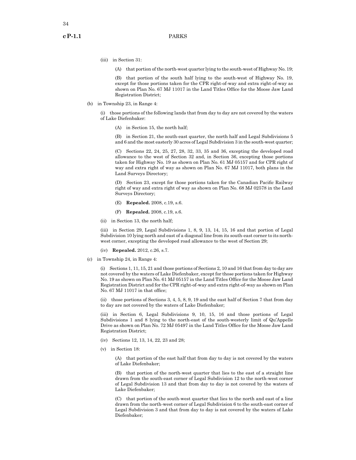34

(iii) in Section 31:

(A) that portion of the north-west quarter lying to the south-west of Highway No. 19;

(B) that portion of the south half lying to the south-west of Highway No. 19, except for those portions taken for the CPR right-of-way and extra right-of-way as shown on Plan No. 67 MJ 11017 in the Land Titles Office for the Moose Jaw Land Registration District;

(b) in Township 23, in Range 4:

(i) those portions of the following lands that from day to day are not covered by the waters of Lake Diefenbaker:

(A) in Section 15, the north half;

(B) in Section 21, the south-east quarter, the north half and Legal Subdivisions 5 and 6 and the most easterly 30 acres of Legal Subdivision 3 in the south-west quarter;

(C) Sections 22, 24, 25, 27, 28, 32, 33, 35 and 36, excepting the developed road allowance to the west of Section 32 and, in Section 36, excepting those portions taken for Highway No. 19 as shown on Plan No. 61 MJ 05157 and for CPR right of way and extra right of way as shown on Plan No. 67 MJ 11017, both plans in the Land Surveys Directory;

(D) Section 23, except for those portions taken for the Canadian Pacific Railway right of way and extra right of way as shown on Plan No. 68 MJ 02578 in the Land Surveys Directory;

- (E) **Repealed.** 2008, c.19, s.6.
- (F) **Repealed.** 2008, c.19, s.6.
- (ii) in Section 13, the north half;

(iii) in Section 29, Legal Subdivisions 1, 8, 9, 13, 14, 15, 16 and that portion of Legal Subdivision 10 lying north and east of a diagonal line from its south-east corner to its northwest corner, excepting the developed road allowance to the west of Section 29;

- (iv) **Repealed.** 2012, c.26, s.7.
- (c) in Township 24, in Range 4:

(i) Sections 1, 11, 15, 21 and those portions of Sections 2, 10 and 16 that from day to day are not covered by the waters of Lake Diefenbaker, except for those portions taken for Highway No. 19 as shown on Plan No. 61 MJ 05157 in the Land Titles Office for the Moose Jaw Land Registration District and for the CPR right-of-way and extra right-of-way as shown on Plan No. 67 MJ 11017 in that office;

(ii) those portions of Sections 3, 4, 5, 8, 9, 19 and the east half of Section 7 that from day to day are not covered by the waters of Lake Diefenbaker;

(iii) in Section 6, Legal Subdivisions 9, 10, 15, 16 and those portions of Legal Subdivisions 1 and 8 lying to the north-east of the south-westerly limit of Qu'Appelle Drive as shown on Plan No. 72 MJ 05497 in the Land Titles Office for the Moose Jaw Land Registration District;

- (iv) Sections 12, 13, 14, 22, 23 and 28;
- (v) in Section 18:

(A) that portion of the east half that from day to day is not covered by the waters of Lake Diefenbaker;

(B) that portion of the north-west quarter that lies to the east of a straight line drawn from the south-east corner of Legal Subdivision 12 to the north-west corner of Legal Subdivision 13 and that from day to day is not covered by the waters of Lake Diefenbaker;

(C) that portion of the south-west quarter that lies to the north and east of a line drawn from the north-west corner of Legal Subdivision 6 to the south-east corner of Legal Subdivision 3 and that from day to day is not covered by the waters of Lake Diefenbaker;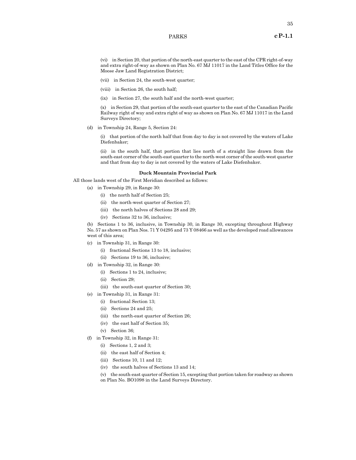(vi) in Section 20, that portion of the north-east quarter to the east of the CPR right-of-way and extra right-of-way as shown on Plan No. 67 MJ 11017 in the Land Titles Office for the Moose Jaw Land Registration District;

- (vii) in Section 24, the south-west quarter;
- (viii) in Section 26, the south half;
- (ix) in Section 27, the south half and the north-west quarter;

(x) in Section 29, that portion of the south-east quarter to the east of the Canadian Pacific Railway right of way and extra right of way as shown on Plan No. 67 MJ 11017 in the Land Surveys Directory;

(d) in Township 24, Range 5, Section 24:

(i) that portion of the north half that from day to day is not covered by the waters of Lake Diefenbaker;

(ii) in the south half, that portion that lies north of a straight line drawn from the south-east corner of the south-east quarter to the north-west corner of the south-west quarter and that from day to day is not covered by the waters of Lake Diefenbaker.

### **Duck Mountain Provincial Park**

All those lands west of the First Meridian described as follows:

- (a) in Township 29, in Range 30:
	- (i) the north half of Section 25;
	- (ii) the north-west quarter of Section 27;
	- (iii) the north halves of Sections 28 and 29;
	- (iv) Sections 32 to 36, inclusive;

(b) Sections 1 to 36, inclusive, in Township 30, in Range 30, excepting throughout Highway No. 57 as shown on Plan Nos. 71 Y 04295 and 73 Y 08466 as well as the developed road allowances west of this area;

- (c) in Township 31, in Range 30:
	- (i) fractional Sections 13 to 18, inclusive;
	- (ii) Sections 19 to 36, inclusive;
- (d) in Township 32, in Range 30:
	- (i) Sections 1 to 24, inclusive;
	- (ii) Section 29;
	- (iii) the south-east quarter of Section 30;
- (e) in Township 31, in Range 31:
	- (i) fractional Section 13;
	- (ii) Sections 24 and 25;
	- (iii) the north-east quarter of Section 26;
	- (iv) the east half of Section 35;
	- (v) Section 36;
- (f) in Township 32, in Range 31:
	- (i) Sections 1, 2 and 3;
	- (ii) the east half of Section 4;
	- (iii) Sections 10, 11 and 12;
	- (iv) the south halves of Sections 13 and 14;

(v) the south-east quarter of Section 15, excepting that portion taken for roadway as shown on Plan No. BO1098 in the Land Surveys Directory.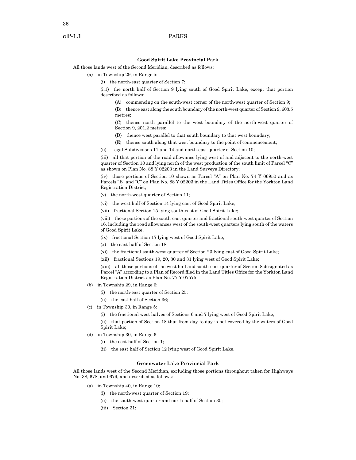# **Good Spirit Lake Provincial Park**

All those lands west of the Second Meridian, described as follows:

- (a) in Township 29, in Range 5:
	- (i) the north-east quarter of Section 7;

(i.1) the north half of Section 9 lying south of Good Spirit Lake, except that portion described as follows:

(A) commencing on the south-west corner of the north-west quarter of Section 9;

(B) thence east along the south boundary of the north-west quarter of Section 9, 603.5 metres;

(C) thence north parallel to the west boundary of the north-west quarter of Section 9, 201.2 metres;

- (D) thence west parallel to that south boundary to that west boundary;
- (E) thence south along that west boundary to the point of commencement;
- (ii) Legal Subdivisions 11 and 14 and north-east quarter of Section 10;

(iii) all that portion of the road allowance lying west of and adjacent to the north-west quarter of Section 10 and lying north of the west production of the south limit of Parcel "C" as shown on Plan No. 88 Y 02203 in the Land Surveys Directory;

(iv) those portions of Section 10 shown as Parcel "A" on Plan No. 74 Y 06950 and as Parcels "B" and "C" on Plan No. 88 Y 02203 in the Land Titles Office for the Yorkton Land Registration District;

- (v) the north-west quarter of Section 11;
- (vi) the west half of Section 14 lying east of Good Spirit Lake;
- (vii) fractional Section 15 lying south-east of Good Spirit Lake;

(viii) those portions of the south-east quarter and fractional south-west quarter of Section 16, including the road allowances west of the south-west quarters lying south of the waters of Good Spirit Lake;

- (ix) fractional Section 17 lying west of Good Spirit Lake;
- (x) the east half of Section 18;
- (xi) the fractional south-west quarter of Section 23 lying east of Good Spirit Lake;
- (xii) fractional Sections 19, 20, 30 and 31 lying west of Good Spirit Lake;

(xiii) all those portions of the west half and south-east quarter of Section 8 designated as Parcel "A" according to a Plan of Record filed in the Land Titles Office for the Yorkton Land Registration District as Plan No. 77 Y 07575;

- (b) in Township 29, in Range 6:
	- (i) the north-east quarter of Section 25;
	- (ii) the east half of Section 36;
- (c) in Township 30, in Range 5:
	- (i) the fractional west halves of Sections 6 and 7 lying west of Good Spirit Lake;
	- (ii) that portion of Section 18 that from day to day is not covered by the waters of Good Spirit Lake;
- (d) in Township 30, in Range 6:
	- (i) the east half of Section 1;
	- (ii) the east half of Section 12 lying west of Good Spirit Lake.

# **Greenwater Lake Provincial Park**

All those lands west of the Second Meridian, excluding those portions throughout taken for Highways No. 38, 678, and 679, and described as follows:

- (a) in Township 40, in Range 10;
	- (i) the north-west quarter of Section 19;
	- (ii) the south-west quarter and north half of Section 30;
	- (iii) Section 31;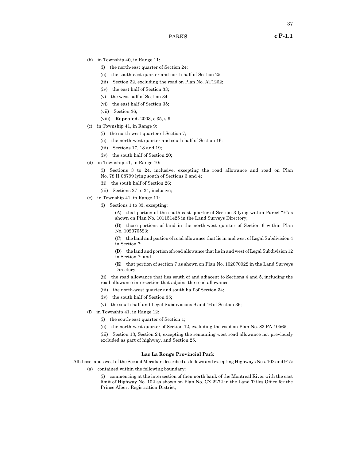- (b) in Township 40, in Range 11:
	- (i) the north-east quarter of Section 24;
	- (ii) the south-east quarter and north half of Section 25;
	- (iii) Section 32, excluding the road on Plan No. AT1262;
	- (iv) the east half of Section 33;
	- (v) the west half of Section 34;
	- (vi) the east half of Section 35;
	- (vii) Section 36;
	- (viii) **Repealed.** 2003, c.35, s.9.
- (c) in Township 41, in Range 9:
	- (i) the north-west quarter of Section 7;
	- (ii) the north-west quarter and south half of Section 16;
	- (iii) Sections 17, 18 and 19;
	- (iv) the south half of Section 20;
- (d) in Township 41, in Range 10:
	- (i) Sections 3 to 24, inclusive, excepting the road allowance and road on Plan No. 78 H 08799 lying south of Sections 3 and 4;
	- (ii) the south half of Section 26;
	- (iii) Sections 27 to 34, inclusive;
- (e) in Township 41, in Range 11:
	- (i) Sections 1 to 33, excepting:
		- (A) that portion of the south-east quarter of Section 3 lying within Parcel "E"as shown on Plan No. 101151425 in the Land Surveys Directory;
		- (B) those portions of land in the north-west quarter of Section 6 within Plan No. 102076523;

(C) the land and portion of road allowance that lie in and west of Legal Subdivision 4 in Section 7;

(D) the land and portion of road allowance that lie in and west of Legal Subdivision 12 in Section 7; and

(E) that portion of section 7 as shown on Plan No. 102070022 in the Land Surveys Directory;

(ii) the road allowance that lies south of and adjacent to Sections 4 and 5, including the road allowance intersection that adjoins the road allowance;

- (iii) the north-west quarter and south half of Section 34;
- (iv) the south half of Section 35;
- (v) the south half and Legal Subdivisions 9 and 16 of Section 36;
- (f) in Township 41, in Range 12:
	- (i) the south-east quarter of Section 1;
	- (ii) the north-west quarter of Section 12, excluding the road on Plan No. 83 PA 10565;

(iii) Section 13, Section 24, excepting the remaining west road allowance not previously excluded as part of highway, and Section 25.

# **Lac La Ronge Provincial Park**

All those lands west of the Second Meridian described as follows and excepting Highways Nos. 102 and 915:

(a) contained within the following boundary:

(i) commencing at the intersection of then north bank of the Montreal River with the east limit of Highway No. 102 as shown on Plan No. CX 2272 in the Land Titles Office for the Prince Albert Registration District;

PARKS **cP-1.1**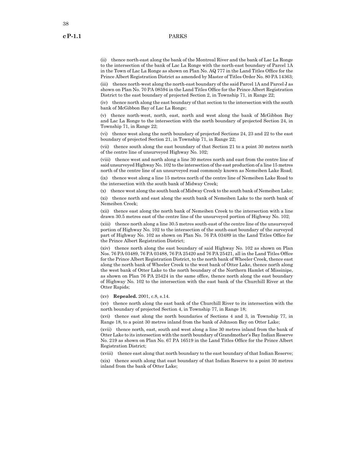(ii) thence north-east along the bank of the Montreal River and the bank of Lac La Ronge to the intersection of the bank of Lac La Ronge with the north-east boundary of Parcel 1A in the Town of Lac La Ronge as shown on Plan No. AQ 777 in the Land Titles Office for the Prince Albert Registration District as amended by Master of Titles Order No. 80 PA 14363;

(iii) thence north-west along the north-east boundary of the said Parcel 1A and Parcel J as shown on Plan No. 70 PA 08594 in the Land Titles Office for the Prince Albert Registration District to the east boundary of projected Section 2, in Township 71, in Range 22;

(iv) thence north along the east boundary of that section to the intersection with the south bank of McGibbon Bay of Lac La Ronge;

(v) thence north-west, north, east, north and west along the bank of McGibbon Bay and Lac La Ronge to the intersection with the north boundary of projected Section 24, in Township 71, in Range 22;

(vi) thence west along the north boundary of projected Sections 24, 23 and 22 to the east boundary of projected Section 21, in Township 71, in Range 22;

(vii) thence south along the east boundary of that Section 21 to a point 30 metres north of the centre line of unsurveyed Highway No. 102;

(viii) thence west and north along a line 30 metres north and east from the centre line of said unsurveyed Highway No. 102 to the intersection of the east production of a line 15 metres north of the centre line of an unsurveyed road commonly known as Nemeiben Lake Road;

(ix) thence west along a line 15 metres north of the centre line of Nemeiben Lake Road to the intersection with the south bank of Midway Creek;

(x) thence west along the south bank of Midway Creek to the south bank of Nemeiben Lake;

(xi) thence north and east along the south bank of Nemeiben Lake to the north bank of Nemeiben Creek;

(xii) thence east along the north bank of Nemeiben Creek to the intersection with a line drawn 30.5 metres east of the centre line of the unsurveyed portion of Highway No. 102;

(xiii) thence north along a line 30.5 metres south-east of the centre line of the unsurveyed portion of Highway No. 102 to the intersection of the south-east boundary of the surveyed part of Highway No. 102 as shown on Plan No. 76 PA 03489 in the Land Titles Office for the Prince Albert Registration District;

(xiv) thence north along the east boundary of said Highway No. 102 as shown on Plan Nos. 76 PA 03489, 76 PA 03488, 76 PA 25420 and 76 PA 25421, all in the Land Titles Office for the Prince Albert Registration District, to the north bank of Wheeler Creek, thence east along the north bank of Wheeler Creek to the west bank of Otter Lake, thence north along the west bank of Otter Lake to the north boundary of the Northern Hamlet of Missinipe, as shown on Plan 76 PA 25424 in the same office, thence north along the east boundary of Highway No. 102 to the intersection with the east bank of the Churchill River at the Otter Rapids;

(xv) **Repealed.** 2001, c.8, s.14.

(xv) thence north along the east bank of the Churchill River to its intersection with the north boundary of projected Section 4, in Township 77, in Range 18;

(xvi) thence east along the north boundaries of Sections 4 and 3, in Township 77, in Range 18, to a point 30 metres inland from the bank of Johnson Bay on Otter Lake;

(xvii) thence north, east, south and west along a line 30 metres inland from the bank of Otter Lake to its intersection with the north boundary of Grandmother's Bay Indian Reserve No. 219 as shown on Plan No. 67 PA 16519 in the Land Titles Office for the Prince Albert Registration District;

(xviii) thence east along that north boundary to the east boundary of that Indian Reserve;

(xix) thence south along that east boundary of that Indian Reserve to a point 30 metres inland from the bank of Otter Lake;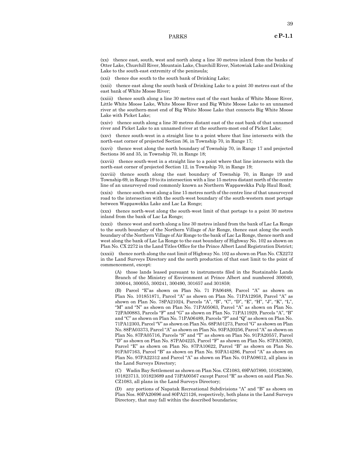(xx) thence east, south, west and north along a line 30 metres inland from the banks of Otter Lake, Churchill River, Mountain Lake, Churchill River, Nistowiak Lake and Drinking Lake to the south-east extremity of the peninsula;

(xxi) thence due south to the south bank of Drinking Lake;

(xxii) thence east along the south bank of Drinking Lake to a point 30 metres east of the east bank of White Moose River;

(xxiii) thence south along a line 30 metres east of the east banks of White Moose River, Little White Moose Lake, White Moose River and Big White Moose Lake to an unnamed river at the southern-most end of Big White Moose Lake that connects Big White Moose Lake with Picket Lake;

(xxiv) thence south along a line 30 metres distant east of the east bank of that unnamed river and Picket Lake to an unnamed river at the southern-most end of Picket Lake;

(xxv) thence south-west in a straight line to a point where that line intersects with the north-east corner of projected Section 36, in Township 70, in Range 17;

(xxvi) thence west along the north boundary of Township 70, in Range 17 and projected Sections 36 and 35, in Township 70, in Range 18;

(xxvii) thence south-west in a straight line to a point where that line intersects with the north-east corner of projected Section 12, in Township 70, in Range 19;

(xxviii) thence south along the east boundary of Township 70, in Range 19 and Township 69, in Range 19 to its intersection with a line 15 metres distant north of the centre line of an unsurveyed road commonly known as Northern Wappawekka Pulp Haul Road;

(xxix) thence south-west along a line 15 metres north of the centre line of that unsurveyed road to the intersection with the south-west boundary of the south-western most portage between Wappawekka Lake and Lac La Ronge;

(xxx) thence north-west along the south-west limit of that portage to a point 30 metres inland from the bank of Lac La Ronge;

(xxxi) thence west and north along a line 30 metres inland from the bank of Lac La Ronge to the south boundary of the Northern Village of Air Ronge, thence east along the south boundary of the Northern Village of Air Ronge to the bank of Lac La Ronge, thence north and west along the bank of Lac La Ronge to the east boundary of Highway No. 102 as shown on Plan No. CX 2272 in the Land Titles Office for the Prince Albert Land Registration District;

(xxxii) thence north along the east limit of Highway No. 102 as shown on Plan No. CX2272 in the Land Surveys Directory and the north production of that east limit to the point of commencement, except:

(A) those lands leased pursuant to instruments filed in the Sustainable Lands Branch of the Ministry of Environment at Prince Albert and numbered 300040, 300044, 300055, 300241, 300490, 301657 and 301859;

(B) Parcel "E"as shown on Plan No. 71 PA06488, Parcel "A" as shown on Plan No. 101851871, Parcel "A" as shown on Plan No. 71PA12958, Parcel "A" as shown on Plan No. 78PA21024, Parcels "A", "B", "C", "D", "E", "H", "J", "K", "L", "M" and "N" as shown on Plan No. 71PA05063, Parcel "A" as shown on Plan No. 72PA00883, Parcels "F" and "G" as shown on Plan No. 71PA11929, Parcels "A", "B" and "C" as shown on Plan No. 71PA06489, Parcels "P" and "Q" as shown on Plan No. 71PA12303, Parcel "V" as shown on Plan No. 68PA01273, Parcel "G" as shown on Plan No. 88PA03373, Parcel "A" as shown on Plan No. 93PA20256, Parcel "A" as shown on Plan No. 87PA05716, Parcels "S" and "T" as shown on Plan No. 91PA20557, Parcel "D" as shown on Plan No. 87PA04225, Parcel "F" as shown on Plan No. 87PA10620, Parcel "E" as shown on Plan No. 87PA10622, Parcel "B" as shown on Plan No. 91PA07163, Parcel "B" as shown on Plan No. 93PA14286, Parcel "A" as shown on Plan No. 97PA22312 and Parcel "A" as shown on Plan No. 01PA08612, all plans in the Land Surveys Directory;

(C) Wadin Bay Settlement as shown on Plan Nos. CZ1083, 69PA07890, 101823690, 101823713, 101823689 and 73PA00567 except Parcel "R" as shown on said Plan No. CZ1083, all plans in the Land Surveys Directory;

(D) any portions of Napatak Recreational Subdivisions "A" and "B" as shown on Plan Nos. 80PA20696 and 80PA21126, respectively, both plans in the Land Surveys Directory, that may fall within the described boundaries;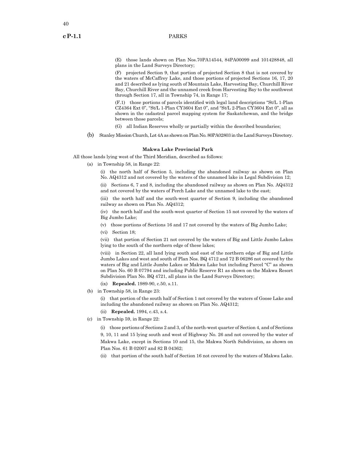(E) those lands shown on Plan Nos.70PA14544, 84PA00099 and 101428848, all plans in the Land Surveys Directory;

(F) projected Section 9, that portion of projected Section 8 that is not covered by the waters of McCaffrey Lake, and those portions of projected Sections 16, 17, 20 and 21 described as lying south of Mountain Lake, Harvesting Bay, Churchill River Bay, Churchill River and the unnamed creek from Harvesting Bay to the southwest through Section 17, all in Township 74, in Range 17;

(F.1) those portions of parcels identified with legal land descriptions "St/L 1-Plan CZ4364 Ext 0", "St/L 1-Plan CY3604 Ext 0", and "St/L 2-Plan CY3604 Ext 0", all as shown in the cadastral parcel mapping system for Saskatchewan, and the bridge between those parcels;

(G) all Indian Reserves wholly or partially within the described boundaries;

(b) Stanley Mission Church, Lot 4A as shown on Plan No. 80PA02803 in the Land Surveys Directory.

#### **Makwa Lake Provincial Park**

All those lands lying west of the Third Meridian, described as follows:

(a) in Township 58, in Range 22:

(i) the north half of Section 5, including the abandoned railway as shown on Plan No. AQ4312 and not covered by the waters of the unnamed lake in Legal Subdivision 12;

(ii) Sections 6, 7 and 8, including the abandoned railway as shown on Plan No. AQ4312 and not covered by the waters of Perch Lake and the unnamed lake to the east;

(iii) the north half and the south-west quarter of Section 9, including the abandoned railway as shown on Plan No. AQ4312;

(iv) the north half and the south-west quarter of Section 15 not covered by the waters of Big Jumbo Lake;

- (v) those portions of Sections 16 and 17 not covered by the waters of Big Jumbo Lake;
- (vi) Section 18;

(vii) that portion of Section 21 not covered by the waters of Big and Little Jumbo Lakes lying to the south of the northern edge of these lakes;

(viii) in Section 22, all land lying south and east of the northern edge of Big and Little Jumbo Lakes and west and south of Plan Nos. BQ 4712 and 72 B 06286 not covered by the waters of Big and Little Jumbo Lakes or Makwa Lake but including Parcel "C" as shown on Plan No. 60 B 07794 and including Public Reserve R1 as shown on the Makwa Resort Subdivision Plan No. BQ 4721, all plans in the Land Surveys Directory;

- (ix) **Repealed.** 1989-90, c.50, s.11.
- (b) in Township 58, in Range 23:

(i) that portion of the south half of Section 1 not covered by the waters of Goose Lake and including the abandoned railway as shown on Plan No. AQ4312;

- (ii) **Repealed.** 1994, c.43, s.4.
- (c) in Township 59, in Range 22:

(i) those portions of Sections 2 and 3, of the north-west quarter of Section 4, and of Sections 9, 10, 11 and 15 lying south and west of Highway No. 26 and not covered by the water of Makwa Lake, except in Sections 10 and 15, the Makwa North Subdivision, as shown on Plan Nos. 61 B 02007 and 82 B 04362;

(ii) that portion of the south half of Section 16 not covered by the waters of Makwa Lake.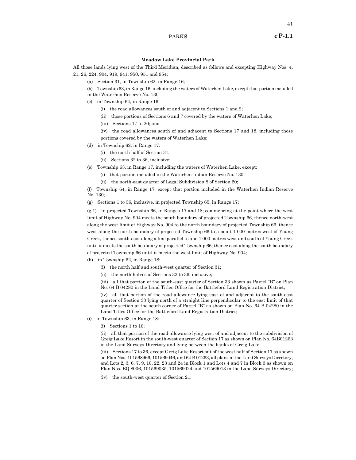#### **Meadow Lake Provincial Park**

All those lands lying west of the Third Meridian, described as follows and excepting Highway Nos. 4, 21, 26, 224, 904, 919, 941, 950, 951 and 954:

- (a) Section 31, in Township 62, in Range 16;
- (b) Township 63, in Range 16, including the waters of Waterhen Lake, except that portion included
- in the Waterhen Reserve No. 130;
- (c) in Township 64, in Range 16:
	- (i) the road allowances south of and adjacent to Sections 1 and 2;
	- (ii) those portions of Sections 6 and 7 covered by the waters of Waterhen Lake;
	- (iii) Sections 17 to 20; and
	- (iv) the road allowances south of and adjacent to Sections 17 and 18, including those portions covered by the waters of Waterhen Lake;
- (d) in Township 62, in Range 17:
	- (i) the north half of Section 31;
	- (ii) Sections 32 to 36, inclusive;
- (e) Township 63, in Range 17, including the waters of Waterhen Lake, except:
	- (i) that portion included in the Waterhen Indian Reserve No. 130;
	- (ii) the north-east quarter of Legal Subdivision 8 of Section 20;

(f) Township 64, in Range 17, except that portion included in the Waterhen Indian Reserve No. 130;

(g) Sections 1 to 36, inclusive, in projected Township 65, in Range 17;

(g.1) in projected Township 66, in Ranges 17 and 18; commencing at the point where the west limit of Highway No. 904 meets the south boundary of projected Township 66, thence north-west along the west limit of Highway No. 904 to the north boundary of projected Township 66, thence west along the north boundary of projected Township 66 to a point 1 000 metres west of Young Creek, thence south-east along a line parallel to and 1 000 metres west and south of Young Creek until it meets the south boundary of projected Township 66, thence east along the south boundary of projected Township 66 until it meets the west limit of Highway No. 904;

(h) in Township 62, in Range 18:

- (i) the north half and south-west quarter of Section 31;
- (ii) the north halves of Sections 32 to 36, inclusive;

(iii) all that portion of the south-east quarter of Section 33 shown as Parcel "B" on Plan No. 64 B 04280 in the Land Titles Office for the Battleford Land Registration District;

(iv) all that portion of the road allowance lying east of and adjacent to the south-east quarter of Section 33 lying north of a straight line perpendicular to the east limit of that quarter section at the south corner of Parcel "B" as shown on Plan No. 64 B 04280 in the Land Titles Office for the Battleford Land Registration District;

- (i) in Township 63, in Range 18:
	- (i) Sections 1 to 16;

(ii) all that portion of the road allowance lying west of and adjacent to the subdivision of Greig Lake Resort in the south-west quarter of Section 17 as shown on Plan No. 64B01263 in the Land Surveys Directory and lying between the banks of Greig Lake;

(iii) Sections 17 to 36, except Greig Lake Resort out of the west half of Section 17 as shown on Plan Nos. 101568966, 101569046, and 64 B 01263, all plans in the Land Surveys Directory, and Lots 2, 3, 6, 7, 9, 10, 22, 23 and 24 in Block 1 and Lots 4 and 7 in Block 3 as shown on Plan Nos. BQ 8006, 101569035, 101569024 and 101569013 in the Land Surveys Directory;

(iv) the south-west quarter of Section 21;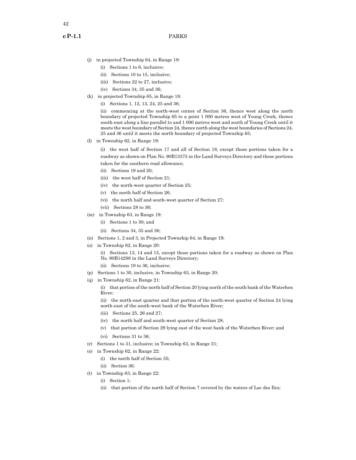- (j) in projected Township 64, in Range 18:
	- (i) Sections 1 to 6, inclusive;
	- (ii) Sections 10 to 15, inclusive;
	- (iii) Sections 22 to 27, inclusive;
	- (iv) Sections 34, 35 and 36;
- (k) in projected Township 65, in Range 18:
	- (i) Sections 1, 12, 13, 24, 25 and 36;

(ii) commencing at the north-west corner of Section 36, thence west along the north boundary of projected Township 65 to a point 1 000 metres west of Young Creek, thence south-east along a line parallel to and 1 000 metres west and south of Young Creek until it meets the west boundary of Section 24, thence north along the west boundaries of Sections 24, 25 and 36 until it meets the north boundary of projected Township 65;

(l) in Township 62, in Range 19:

(i) the west half of Section 17 and all of Section 18, except those portions taken for a roadway as shown on Plan No. 90B13375 in the Land Surveys Directory and those portions taken for the southern road allowance;

- (ii) Sections 19 and 20;
- (iii) the west half of Section 21;
- (iv) the north-west quarter of Section 25;
- (v) the north half of Section 26;
- (vi) the north half and south-west quarter of Section 27;
- (vii) Sections 28 to 36;
- (m) in Township 63, in Range 19:
	- (i) Sections 1 to 30; and
	- (ii) Sections 34, 35 and 36;
- (n) Sections 1, 2 and 3, in Projected Township 64, in Range 19;
- (o) in Township 62, in Range 20:
	- (i) Sections 13, 14 and 15, except those portions taken for a roadway as shown on Plan No. 90B14288 in the Land Surveys Directory;
	- (ii) Sections 19 to 36, inclusive;
- (p) Sections 1 to 30, inclusive, in Township 63, in Range 20;
- (q) in Township 62, in Range 21:

(i) that portion of the north half of Section 20 lying north of the south bank of the Waterhen River;

(ii) the north-east quarter and that portion of the north-west quarter of Section 24 lying north-east of the south-west bank of the Waterhen River;

- (iii) Sections 25, 26 and 27;
- (iv) the north half and south-west quarter of Section 28;
- (v) that portion of Section 29 lying east of the west bank of the Waterhen River; and
- (vi) Sections 31 to 36;
- (r) Sections 1 to 31, inclusive; in Township 63, in Range 21;
- (s) in Township 62, in Range 22:
	- (i) the north half of Section 35;
	- (ii) Section 36;
- (t) in Township 63, in Range 22:
	- (i) Section 1;
	- (ii) that portion of the north half of Section 7 covered by the waters of Lac des Iles;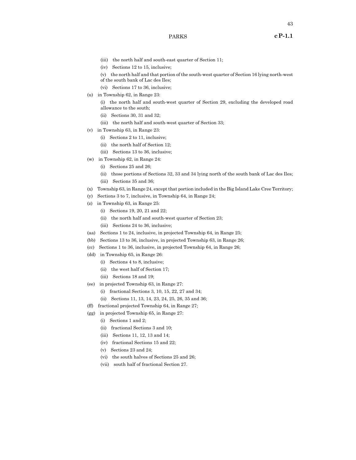- (iv) Sections 12 to 15, inclusive;
- (v) the north half and that portion of the south-west quarter of Section 16 lying north-west
- of the south bank of Lac des Iles; (vi) Sections 17 to 36, inclusive;
- (u) in Township 62, in Range 23:
	- (i) the north half and south-west quarter of Section 29, excluding the developed road allowance to the south;
	- (ii) Sections 30, 31 and 32;
	- (iii) the north half and south-west quarter of Section 33;
- (v) in Township 63, in Range 23:
	- (i) Sections 2 to 11, inclusive;
	- (ii) the north half of Section 12;
	- (iii) Sections 13 to 36, inclusive;
- (w) in Township 62, in Range 24:
	- (i) Sections 25 and 26;
	- (ii) those portions of Sections 32, 33 and 34 lying north of the south bank of Lac des Iles;
	- (iii) Sections 35 and 36;
- (x) Township 63, in Range 24, except that portion included in the Big Island Lake Cree Territory;
- (y) Sections 3 to 7, inclusive, in Township 64, in Range 24;
- (z) in Township 63, in Range 25:
	- (i) Sections 19, 20, 21 and 22;
	- (ii) the north half and south-west quarter of Section 23;
	- (iii) Sections 24 to 36, inclusive;
- (aa) Sections 1 to 24, inclusive, in projected Township 64, in Range 25;
- (bb) Sections 13 to 36, inclusive, in projected Township 63, in Range 26;
- (cc) Sections 1 to 36, inclusive, in projected Township 64, in Range 26;
- (dd) in Township 65, in Range 26:
	- (i) Sections 4 to 8, inclusive;
	- (ii) the west half of Section 17;
	- (iii) Sections 18 and 19;
- (ee) in projected Township 63, in Range 27:
	- (i) fractional Sections 3, 10, 15, 22, 27 and 34;
	- (ii) Sections 11, 13, 14, 23, 24, 25, 26, 35 and 36;
- (ff) fractional projected Township 64, in Range 27;
- (gg) in projected Township 65, in Range 27:
	- (i) Sections 1 and 2;
	- (ii) fractional Sections 3 and 10;
	- (iii) Sections 11, 12, 13 and 14;
	- (iv) fractional Sections 15 and 22;
	- (v) Sections 23 and 24;
	- (vi) the south halves of Sections 25 and 26;
	- (vii) south half of fractional Section 27.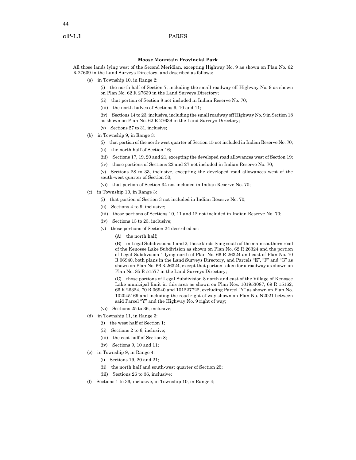# **Moose Mountain Provincial Park**

All those lands lying west of the Second Meridian, excepting Highway No. 9 as shown on Plan No. 62 R 27639 in the Land Surveys Directory, and described as follows:

- (a) in Township 10, in Range 2:
	- (i) the north half of Section 7, including the small roadway off Highway No. 9 as shown on Plan No. 62 R 27639 in the Land Surveys Directory;
	- (ii) that portion of Section 8 not included in Indian Reserve No. 70;
	- (iii) the north halves of Sections 9, 10 and 11;
	- (iv) Sections 14 to 23, inclusive, including the small roadway off Highway No. 9 in Section 18 as shown on Plan No. 62 R 27639 in the Land Surveys Directory;
	- (v) Sections 27 to 31, inclusive;
- (b) in Township 9, in Range 3:
	- (i) that portion of the north-west quarter of Section 15 not included in Indian Reserve No. 70;
	- (ii) the north half of Section 16;
	- (iii) Sections 17, 19, 20 and 21, excepting the developed road allowances west of Section 19;
	- (iv) those portions of Sections 22 and 27 not included in Indian Reserve No. 70;
	- (v) Sections 28 to 33, inclusive, excepting the developed road allowances west of the south-west quarter of Section 30;
	- (vi) that portion of Section 34 not included in Indian Reserve No. 70;
- (c) in Township 10, in Range 3:
	- (i) that portion of Section 3 not included in Indian Reserve No. 70;
	- (ii) Sections 4 to 9, inclusive;
	- (iii) those portions of Sections 10, 11 and 12 not included in Indian Reserve No. 70;
	- (iv) Sections 13 to 23, inclusive;
	- (v) those portions of Section 24 described as:
		- (A) the north half;

(B) in Legal Subdivisions 1 and 2, those lands lying south of the main southern road of the Kenosee Lake Subdivision as shown on Plan No. 62 R 26324 and the portion of Legal Subdivision 1 lying north of Plan No. 66 R 26324 and east of Plan No. 70 R 06940, both plans in the Land Surveys Directory, and Parcels "E", "F" and "G" as shown on Plan No. 66 R 26324, except that portion taken for a roadway as shown on Plan No. 85 R 51577 in the Land Surveys Directory;

(C) those portions of Legal Subdivision 8 north and east of the Village of Kenosee Lake municipal limit in this area as shown on Plan Nos. 101953087, 69 R 15162, 66 R 26324, 70 R 06940 and 101227722, excluding Parcel "Y" as shown on Plan No. 102045169 and including the road right of way shown on Plan No. N2021 between said Parcel "Y" and the Highway No. 9 right of way;

- (vi) Sections 25 to 36, inclusive;
- (d) in Township 11, in Range 3:
	- (i) the west half of Section 1;
	- (ii) Sections 2 to 6, inclusive;
	- (iii) the east half of Section 8;
	- (iv) Sections 9, 10 and 11;
- (e) in Township 9, in Range 4:
	- (i) Sections 19, 20 and 21;
	- (ii) the north half and south-west quarter of Section 25;
	- (iii) Sections 26 to 36, inclusive;
- (f) Sections 1 to 36, inclusive, in Township 10, in Range 4;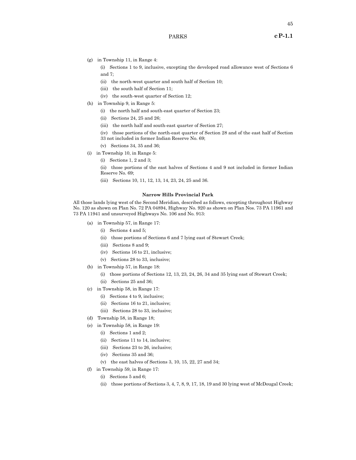(g) in Township 11, in Range 4:

(i) Sections 1 to 9, inclusive, excepting the developed road allowance west of Sections 6 and 7;

- (ii) the north-west quarter and south half of Section 10;
- (iii) the south half of Section 11;
- (iv) the south-west quarter of Section 12;
- (h) in Township 9, in Range 5:
	- (i) the north half and south-east quarter of Section 23;
	- (ii) Sections 24, 25 and 26;
	- (iii) the north half and south-east quarter of Section 27;
	- (iv) those portions of the north-east quarter of Section 28 and of the east half of Section 33 not included in former Indian Reserve No. 69;
	- (v) Sections 34, 35 and 36;
- (i) in Township 10, in Range 5:
	- (i) Sections 1, 2 and 3;

(ii) those portions of the east halves of Sections 4 and 9 not included in former Indian Reserve No. 69;

(iii) Sections 10, 11, 12, 13, 14, 23, 24, 25 and 36.

# **Narrow Hills Provincial Park**

All those lands lying west of the Second Meridian, described as follows, excepting throughout Highway No. 120 as shown on Plan No. 72 PA 04894, Highway No. 920 as shown on Plan Nos. 73 PA 11961 and 73 PA 11941 and unsurveyed Highways No. 106 and No. 913:

- (a) in Township 57, in Range 17:
	- (i) Sections 4 and 5;
	- (ii) those portions of Sections 6 and 7 lying east of Stewart Creek;
	- (iii) Sections 8 and 9;
	- (iv) Sections 16 to 21, inclusive;
	- (v) Sections 28 to 33, inclusive;
- (b) in Township 57, in Range 18:
	- (i) those portions of Sections 12, 13, 23, 24, 26, 34 and 35 lying east of Stewart Creek;
	- (ii) Sections 25 and 36;
- (c) in Township 58, in Range 17:
	- (i) Sections 4 to 9, inclusive;
	- (ii) Sections 16 to 21, inclusive;
	- (iii) Sections 28 to 33, inclusive;
- (d) Township 58, in Range 18;
- (e) in Township 58, in Range 19:
	- (i) Sections 1 and 2;
	- (ii) Sections 11 to 14, inclusive;
	- (iii) Sections 23 to 26, inclusive;
	- (iv) Sections 35 and 36;
	- (v) the east halves of Sections 3, 10, 15, 22, 27 and 34;
- (f) in Township 59, in Range 17:
	- (i) Sections 5 and 6;
	- (ii) those portions of Sections 3, 4, 7, 8, 9, 17, 18, 19 and 30 lying west of McDougal Creek;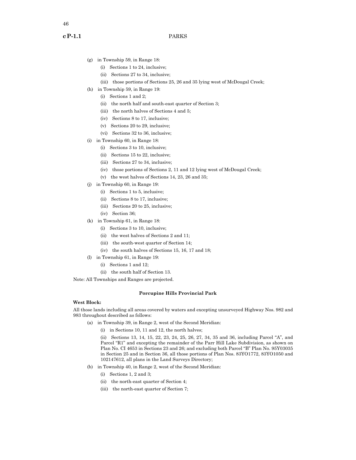- (g) in Township 59, in Range 18:
	- (i) Sections 1 to 24, inclusive;
	- (ii) Sections 27 to 34, inclusive;
	- (iii) those portions of Sections 25, 26 and 35 lying west of McDougal Creek;
- (h) in Township 59, in Range 19:
	- (i) Sections 1 and 2;
	- (ii) the north half and south-east quarter of Section 3;
	- (iii) the north halves of Sections 4 and 5;
	- (iv) Sections 8 to 17, inclusive;
	- (v) Sections 20 to 29, inclusive;
	- (vi) Sections 32 to 36, inclusive;
- (i) in Township 60, in Range 18:
	- (i) Sections 3 to 10, inclusive;
	- (ii) Sections 15 to 22, inclusive;
	- (iii) Sections 27 to 34, inclusive;
	- (iv) those portions of Sections 2, 11 and 12 lying west of McDougal Creek;
	- (v) the west halves of Sections 14, 23, 26 and 35;
- (j) in Township 60, in Range 19:
	- (i) Sections 1 to 5, inclusive;
	- (ii) Sections 8 to 17, inclusive;
	- (iii) Sections 20 to 25, inclusive;
	- (iv) Section 36;
- (k) in Township 61, in Range 18:
	- (i) Sections 3 to 10, inclusive;
	- (ii) the west halves of Sections 2 and 11;
	- (iii) the south-west quarter of Section 14;
	- (iv) the south halves of Sections 15, 16, 17 and 18;
- (l) in Township 61, in Range 19:
	- (i) Sections 1 and 12;
	- (ii) the south half of Section 13.

Note: All Townships and Ranges are projected.

# **Porcupine Hills Provincial Park**

#### **West Block:**

All those lands including all areas covered by waters and excepting unsurveyed Highway Nos. 982 and 983 throughout described as follows:

- (a) in Township 39, in Range 2, west of the Second Meridian:
	- (i) in Sections 10, 11 and 12, the north halves;

(ii) Sections 13, 14, 15, 22, 23, 24, 25, 26, 27, 34, 35 and 36, including Parcel "A", and Parcel "R1" and excepting the remainder of the Parr Hill Lake Subdivision, as shown on Plan No. CI 4653 in Sections 23 and 26; and excluding both Parcel "B" Plan No. 95Y03035 in Section 25 and in Section 36, all those portions of Plan Nos. 83YO1772, 83YO1050 and 102147612, all plans in the Land Surveys Directory;

- (b) in Township 40, in Range 2, west of the Second Meridian:
	- (i) Sections 1, 2 and 3;
	- (ii) the north-east quarter of Section 4;
	- (iii) the north-east quarter of Section 7;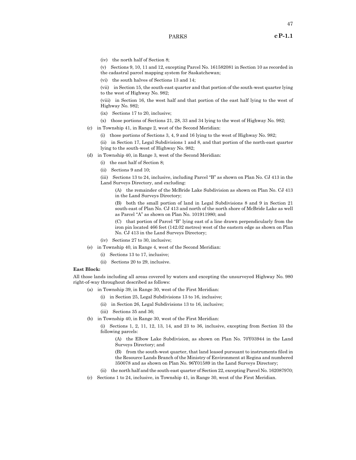(iv) the north half of Section 8;

(v) Sections 9, 10, 11 and 12, excepting Parcel No. 161582081 in Section 10 as recorded in the cadastral parcel mapping system for Saskatchewan;

(vi) the south halves of Sections 13 and 14;

(vii) in Section 15, the south-east quarter and that portion of the south-west quarter lying to the west of Highway No. 982;

(viii) in Section 16, the west half and that portion of the east half lying to the west of Highway No. 982;

- (ix) Sections 17 to 20, inclusive;
- (x) those portions of Sections 21, 28, 33 and 34 lying to the west of Highway No. 982;

(c) in Township 41, in Range 2, west of the Second Meridian:

(i) those portions of Sections 3, 4, 9 and 16 lying to the west of Highway No. 982;

(ii) in Section 17, Legal Subdivisions 1 and 8, and that portion of the north-east quarter lying to the south-west of Highway No. 982;

- (d) in Township 40, in Range 3, west of the Second Meridian:
	- (i) the east half of Section 8;
	- (ii) Sections 9 and 10;

(iii) Sections 13 to 24, inclusive, including Parcel "B" as shown on Plan No. CJ 413 in the Land Surveys Directory, and excluding:

(A) the remainder of the McBride Lake Subdivision as shown on Plan No. CJ 413 in the Land Surveys Directory;

(B) both the small portion of land in Legal Subdivisions 8 and 9 in Section 21 south-east of Plan No. CJ 413 and north of the north shore of McBride Lake as well as Parcel "A" as shown on Plan No. 101911980; and

(C) that portion of Parcel "B" lying east of a line drawn perpendicularly from the iron pin located 466 feet (142.02 metres) west of the eastern edge as shown on Plan No. CJ 413 in the Land Surveys Directory;

- (iv) Sections 27 to 30, inclusive;
- (e) in Township 40, in Range 4, west of the Second Meridian:
	- (i) Sections 13 to 17, inclusive;
	- (ii) Sections 20 to 29, inclusive.

# **East Block:**

All those lands including all areas covered by waters and excepting the unsurveyed Highway No. 980 right-of-way throughout described as follows:

- (a) in Township 39, in Range 30, west of the First Meridian:
	- (i) in Section 25, Legal Subdivisions 13 to 16, inclusive;
	- (ii) in Section 26, Legal Subdivisions 13 to 16, inclusive;
	- (iii) Sections 35 and 36;
- (b) in Township 40, in Range 30, west of the First Meridian:

(i) Sections 1, 2, 11, 12, 13, 14, and 23 to 36, inclusive, excepting from Section 33 the following parcels:

(A) the Elbow Lake Subdivision, as shown on Plan No. 70Y03944 in the Land Surveys Directory; and

(B) from the south-west quarter, that land leased pursuant to instruments filed in the Resource Lands Branch of the Ministry of Environment at Regina and numbered 350078 and as shown on Plan No. 96Y01589 in the Land Surveys Directory;

- (ii) the north half and the south-east quarter of Section 22, excepting Parcel No. 162087970;
- (c) Sections 1 to 24, inclusive, in Township 41, in Range 30, west of the First Meridian.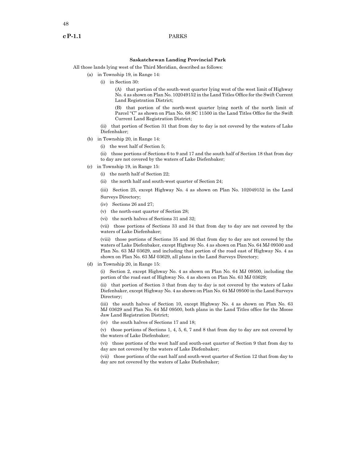### **Saskatchewan Landing Provincial Park**

All those lands lying west of the Third Meridian, described as follows:

- (a) in Township 19, in Range 14:
	- (i) in Section 30:

(A) that portion of the south-west quarter lying west of the west limit of Highway No. 4 as shown on Plan No. 102049152 in the Land Titles Office for the Swift Current Land Registration District;

(B) that portion of the north-west quarter lying north of the north limit of Parcel "C" as shown on Plan No. 68 SC 11500 in the Land Titles Office for the Swift Current Land Registration District;

(ii) that portion of Section 31 that from day to day is not covered by the waters of Lake Diefenbaker;

- (b) in Township 20, in Range 14:
	- (i) the west half of Section 5;

(ii) those portions of Sections 6 to 9 and 17 and the south half of Section 18 that from day to day are not covered by the waters of Lake Diefenbaker;

- (c) in Township 19, in Range 15:
	- (i) the north half of Section 22;
	- (ii) the north half and south-west quarter of Section 24;

(iii) Section 25, except Highway No. 4 as shown on Plan No. 102049152 in the Land Surveys Directory;

- (iv) Sections 26 and 27;
- (v) the north-east quarter of Section 28;
- (vi) the north halves of Sections 31 and 32;

(vii) those portions of Sections 33 and 34 that from day to day are not covered by the waters of Lake Diefenbaker;

(viii) those portions of Sections 35 and 36 that from day to day are not covered by the waters of Lake Diefenbaker, except Highway No. 4 as shown on Plan No. 64 MJ 09500 and Plan No. 63 MJ 03629, and including that portion of the road east of Highway No. 4 as shown on Plan No. 63 MJ 03629, all plans in the Land Surveys Directory;

(d) in Township 20, in Range 15:

(i) Section 2, except Highway No. 4 as shown on Plan No. 64 MJ 09500, including the portion of the road east of Highway No. 4 as shown on Plan No. 63 MJ 03629;

(ii) that portion of Section 3 that from day to day is not covered by the waters of Lake Diefenbaker, except Highway No. 4 as shown on Plan No. 64 MJ 09500 in the Land Surveys Directory;

(iii) the south halves of Section 10, except Highway No. 4 as shown on Plan No. 63 MJ 03629 and Plan No. 64 MJ 09500, both plans in the Land Titles office for the Moose Jaw Land Registration District;

(iv) the south halves of Sections 17 and 18;

(v) those portions of Sections 1, 4, 5, 6, 7 and 8 that from day to day are not covered by the waters of Lake Diefenbaker;

(vi) those portions of the west half and south-east quarter of Section 9 that from day to day are not covered by the waters of Lake Diefenbaker;

(vii) those portions of the east half and south-west quarter of Section 12 that from day to day are not covered by the waters of Lake Diefenbaker;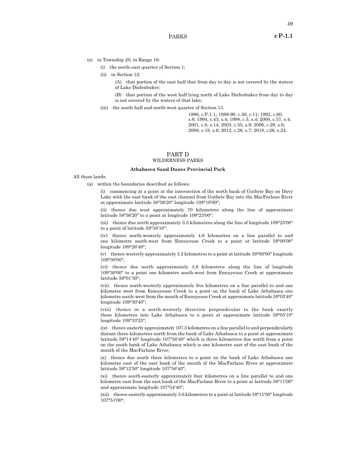- (e) in Township 20, in Range 16:
	- (i) the north-east quarter of Section 1;
	- (ii) in Section 12:

(A) that portion of the east half that from day to day is not covered by the waters of Lake Diefenbaker;

(B) that portion of the west half lying north of Lake Diefenbaker from day to day is not covered by the waters of that lake;

(iii) the south half and north-west quarter of Section 13.

1986, c.P-1.1; 1989-90, c.50, c.11; 1992, c.60, s.6; 1994, c.43, s.4; 1998, c.5, s.4; 2000, c.57, s.4; 2001, c.8, s.14; 2003, c.35, s.9; 2006, c.29, s.6; 2008, c.19, s.6; 2012, c.26, s.7; 2018, c26, s.24.

### PART D WILDERNESS PARKS

#### **Athabasca Sand Dunes Provincial Park**

All those lands:

(a) within the boundaries described as follows:

(i) commencing at a point at the intersection of the north bank of Guthrie Bay on Davy Lake with the east bank of the east channel from Guthrie Bay into the MacFarlane River at approximate latitude 58°56'20" longitude 108°10'00";

(ii) thence due west approximately 70 kilometres along the line of approximate latitude 58°56'20" to a point at longitude 109°23'00";

(iii) thence due north approximately 3.3 kilometres along the line of longitude 109°23'00" to a point of latitude 58°58'10";

(iv) thence north-westerly approximately 4.6 kilometres on a line parallel to and one kilometre south-west from Ennuyeuse Creek to a point at latitude 59°00'00" longitude 109°26'40";

(v) thence westerly approximately 3.2 kilometres to a point at latitude 59°00'00" longitude 109°30'00";

(vi) thence due north approximately 3.8 kilometres along the line of longitude 109°30'00" to a point one kilometre south-west from Ennuyeuse Creek at approximate latitude 59°01'30";

(vii) thence north-westerly approximately five kilometres on a line parallel to and one kilometre west from Ennuyeuse Creek to a point on the bank of Lake Athabasca one kilometre south-west from the mouth of Ennuyeuse Creek at approximate latitude 59°03'40" longitude 109°30'40";

(viii) thence in a north-westerly direction perpendicular to the bank exactly three kilometres into Lake Athabasca to a point at approximate latitude 59°05'10" longitude 109°33'25";

(ix) thence easterly approximately 107.5 kilometres on a line parallel to and perpendicularly distant three kilometres north from the bank of Lake Athabasca to a point at approximate latitude 59°14'40" longitude 107°56'40" which is three kilometres due north from a point on the south bank of Lake Athabasca which is one kilometre east of the east bank of the mouth of the MacFarlane River;

(x) thence due south three kilometres to a point on the bank of Lake Athabasca one kilometre east of the east bank of the mouth of the MacFarlane River at approximate latitude 59°12'50" longitude 107°56'40";

(xi) thence south-easterly approximately four kilometres on a line parallel to and one kilometre east from the east bank of the MacFarlane River to a point at latitude 59°11'00" and approximate longitude 107°54'40";

(xii) thence easterly approximately 3.6 kilometres to a point at latitude 59°11'00" longitude 107°51'00";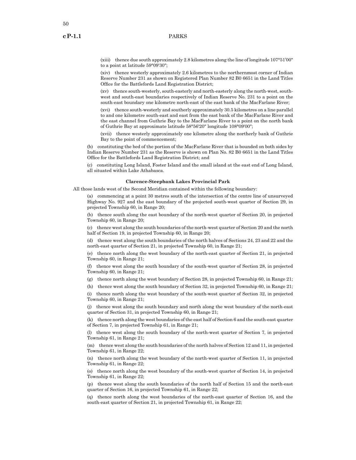(xiii) thence due south approximately 2.8 kilometres along the line of longitude 107°51'00" to a point at latitude 59°09'30";

(xiv) thence westerly approximately 2.6 kilometres to the northernmost corner of Indian Reserve Number 231 as shown on Registered Plan Number 82 B0 6651 in the Land Titles Office for the Battlefords Land Registration District;

(xv) thence south-westerly, south-easterly and north-easterly along the north-west, southwest and south-east boundaries respectively of Indian Reserve No. 231 to a point on the south-east boundary one kilometre north-east of the east bank of the MacFarlane River;

(xvi) thence south-westerly and southerly approximately 30.5 kilometres on a line parallel to and one kilometre south-east and east from the east bank of the MacFarlane River and the east channel from Guthrie Bay to the MacFarlane River to a point on the north bank of Guthrie Bay at approximate latitude 58°56'20" longitude 108°09'00";

(xvii) thence westerly approximately one kilometre along the northerly bank of Guthrie Bay to the point of commencement;

(b) constituting the bed of the portion of the MacFarlane River that is bounded on both sides by Indian Reserve Number 231 as the Reserve is shown on Plan No. 82 B0 6651 in the Land Titles Office for the Battlefords Land Registration District; and

(c) constituting Long Island, Foster Island and the small island at the east end of Long Island, all situated within Lake Athabasca.

#### **Clarence-Steepbank Lakes Provincial Park**

All those lands west of the Second Meridian contained within the following boundary:

(a) commencing at a point 30 metres south of the intersection of the centre line of unsurveyed Highway No. 927 and the east boundary of the projected south-west quarter of Section 29, in projected Township 60, in Range 20;

(b) thence south along the east boundary of the north-west quarter of Section 20, in projected Township 60, in Range 20;

(c) thence west along the south boundaries of the north-west quarter of Section 20 and the north half of Section 19, in projected Township 60, in Range 20;

(d) thence west along the south boundaries of the north halves of Sections 24, 23 and 22 and the north-east quarter of Section 21, in projected Township 60, in Range 21;

(e) thence north along the west boundary of the north-east quarter of Section 21, in projected Township 60, in Range 21;

(f) thence west along the south boundary of the south-west quarter of Section 28, in projected Township 60, in Range 21;

(g) thence north along the west boundary of Section 28, in projected Township 60, in Range 21;

(h) thence west along the south boundary of Section 32, in projected Township 60, in Range 21;

(i) thence north along the west boundary of the south-west quarter of Section 32, in projected Township 60, in Range 21;

(j) thence west along the south boundary and north along the west boundary of the north-east quarter of Section 31, in projected Township 60, in Range 21;

(k) thence north along the west boundaries of the east half of Section 6 and the south-east quarter of Section 7, in projected Township 61, in Range 21;

(l) thence west along the south boundary of the north-west quarter of Section 7, in projected Township 61, in Range 21;

(m) thence west along the south boundaries of the north halves of Section 12 and 11, in projected Township 61, in Range 22;

(n) thence north along the west boundary of the north-west quarter of Section 11, in projected Township 61, in Range 22;

(o) thence north along the west boundary of the south-west quarter of Section 14, in projected Township 61, in Range 22;

(p) thence west along the south boundaries of the north half of Section 15 and the north-east quarter of Section 16, in projected Township 61, in Range 22;

(q) thence north along the west boundaries of the north-east quarter of Section 16, and the south-east quarter of Section 21, in projected Township 61, in Range 22;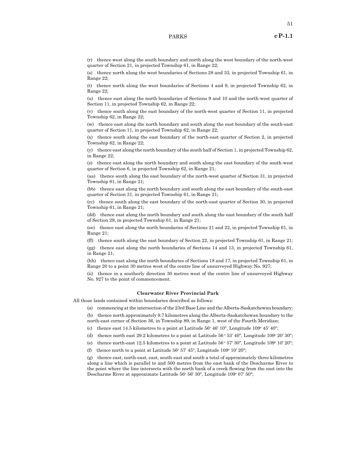(s) thence north along the west boundaries of Sections 28 and 33, in projected Township 61, in Range 22;

(t) thence north along the west boundaries of Sections 4 and 9, in projected Township 62, in Range 22;

(u) thence east along the north boundaries of Sections 9 and 10 and the north-west quarter of Section 11, in projected Township 62, in Range 22;

(v) thence south along the east boundary of the north-west quarter of Section 11, in projected Township 62, in Range 22;

(w) thence east along the north boundary and south along the east boundary of the south-east quarter of Section 11, in projected Township 62, in Range 22;

(x) thence south along the east boundary of the north-east quarter of Section 2, in projected Township 62, in Range 22;

(y) thence east along the north boundary of the south half of Section 1, in projected Township 62, in Range 22;

(z) thence east along the north boundary and south along the east boundary of the south-west quarter of Section 6, in projected Township 62, in Range 21;

(aa) thence south along the east boundary of the north-west quarter of Section 31, in projected Township 61, in Range 21;

(bb) thence east along the north boundary and south along the east boundary of the south-east quarter of Section 31, in projected Township 61, in Range 21;

(cc) thence south along the east boundary of the north-east quarter of Section 30, in projected Township 61, in Range 21;

(dd) thence east along the north boundary and south along the east boundary of the south half of Section 29, in projected Township 61, in Range 21;

(ee) thence east along the north boundaries of Sections 21 and 22, in projected Township 61, in Range 21;

(ff) thence south along the east boundary of Section 22, in projected Township 61, in Range 21;

(gg) thence east along the north boundaries of Sections 14 and 13, in projected Township 61, in Range 21;

(hh) thence east along the north boundaries of Sections 18 and 17, in projected Township 61, in Range 20 to a point 30 metres west of the centre line of unsurveyed Highway No. 927;

(ii) thence in a southerly direction 30 metres west of the centre line of unsurveyed Highway No. 927 to the point of commencement.

# **Clearwater River Provincial Park**

All those lands contained within boundaries described as follows:

(a) commencing at the intersection of the 23rd Base Line and the Alberta-Saskatchewan boundary;

(b) thence north approximately 9.7 kilometres along the Alberta-Saskatchewan boundary to the north-east corner of Section 36, in Township 89, in Range 1, west of the Fourth Meridian;

(c) thence east 14.5 kilometres to a point at Latitude  $56^{\circ}$  46' 10", Longitude  $109^{\circ}$  45' 40";

(d) thence north east 29.2 kilometres to a point at Latitude  $56°53'$  40", Longitude  $109°20'30"$ ;

(e) thence north-east 12.5 kilometres to a point at Latitude  $56^{\circ}57'30''$ , Longitude  $109^{\circ}10'20''$ ;

(f) thence north to a point at Latitude  $56^{\circ}$   $57'$   $45''$ , Longitude  $109^{\circ}$   $10'$   $20''$ ;

(g) thence east, north-east, east, south-east and south a total of approximately three kilometres along a line which is parallel to and 500 metres from the east bank of the Descharme River to the point where the line intersects with the north bank of a creek flowing from the east into the Descharme River at approximate Latitude 56° 56' 30", Longitude 109° 07' 50";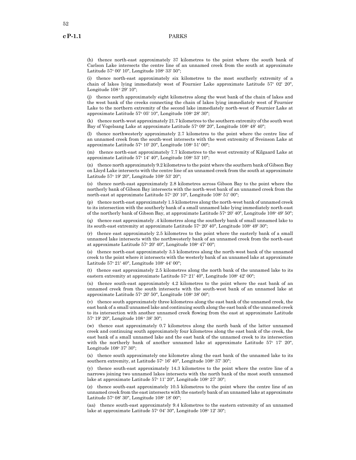52

(h) thence north-east approximately 37 kilometres to the point where the south bank of Carlson Lake intersects the centre line of an unnamed creek from the south at approximate Latitude 57° 00' 10", Longitude 108° 33' 50";

(i) thence north-east approximately six kilometres to the most southerly extremity of a chain of lakes lying immediately west of Fournier Lake approximate Latitude 57° 02' 20", Longitude  $108°29'10"$ ;

(j) thence north approximately eight kilometres along the west bank of the chain of lakes and the west bank of the creeks connecting the chain of lakes lying immediately west of Fournier Lake to the northern extremity of the second lake immediately north-west of Fournier Lake at approximate Latitude 57° 05' 10", Longitude 108° 28' 30";

(k) thence north-west approximately 21.7 kilometres to the southern extremity of the south west Bay of Vogelsang Lake at approximate Latitude 57° 09' 20", Longitude 108° 48' 40";

(l) thence northwesterly approximately 2.7 kilometres to the point where the centre line of an unnamed creek from the south-west intersects with the west extremity of Sveinson Lake at approximate Latitude 57° 10' 20", Longitude 108° 51' 00";

(m) thence north-east approximately 7.7 kilometres to the west extremity of Kilgaard Lake at approximate Latitude 57° 14' 40", Longitude 108° 53' 10";

(n) thence north approximately 9.2 kilometres to the point where the southern bank of Gibson Bay on Lloyd Lake intersects with the centre line of an unnamed creek from the south at approximate Latitude 57° 19' 20", Longitude 108° 53' 20";

thence north-east approximately 2.8 kilometres across Gibson Bay to the point where the northerly bank of Gibson Bay intersects with the north-west bank of an unnamed creek from the north-east at approximate Latitude 57° 20' 10", Longitude 108° 51' 00";

(p) thence north-east approximately 1.5 kilometres along the north-west bank of unnamed creek to its intersection with the southerly bank of a small unnamed lake lying immediately north-east of the northerly bank of Gibson Bay, at approximate Latitude 57° 20′ 40″, Longitude 108° 49′ 50″;

(q) thence east approximately .4 kilometres along the southerly bank of small unnamed lake to its south-east extremity at approximate Latitude 57<sup>°</sup> 20' 40", Longitude 108° 49' 30";

(r) thence east approximately 2.5 kilometres to the point where the easterly bank of a small unnamed lake intersects with the northwesterly bank of an unnamed creek from the north-east at approximate Latitude 57° 20′ 40″, Longitude 108° 47′ 00″;

(s) thence north-east approximately 3.5 kilometres along the north-west bank of the unnamed creek to the point where it intersects with the westerly bank of an unnamed lake at approximate Latitude 57° 21′ 40", Longitude 108° 44′ 00";

(t) thence east approximately 2.5 kilometres along the north bank of the unnamed lake to its eastern extremity at approximate Latitude 57° 21′ 40", Longitude 108° 42′ 00";

(u) thence south-east approximately 4.2 kilometres to the point where the east bank of an unnamed creek from the south intersects with the south-west bank of an unnamed lake at approximate Latitude 57° 20′ 50″, Longitude 108° 38′ 00″;

(v) thence south approximately three kilometres along the east bank of the unnamed creek, the east bank of a small unnamed lake and continuing south along the east bank of the unnamed creek to its intersection with another unnamed creek flowing from the east at approximate Latitude 57o 19' 20", Longitude 108 o 38' 30";

(w) thence east approximately 0.7 kilometres along the north bank of the latter unnamed creek and continuing south approximately four kilometres along the east bank of the creek, the east bank of a small unnamed lake and the east bank of the unnamed creek to its intersection with the northerly bank of another unnamed lake at approximate Latitude  $57^{\circ}$  17' 20", Longitude 108° 37' 30";

(x) thence south approximately one kilometre along the east bank of the unnamed lake to its southern extremity, at Latitude 57° 16' 40", Longitude 108° 37' 30";

(y) thence south-east approximately 14.3 kilometres to the point where the centre line of a narrows joining two unnamed lakes intersects with the north bank of the most south unnamed lake at approximate Latitude 57° 11' 20", Longitude 108° 27' 30";

(z) thence south-east approximately 10.5 kilometres to the point where the centre line of an unnamed creek from the east intersects with the easterly bank of an unnamed lake at approximate Latitude 57° 08' 30", Longitude 108° 18' 00";

(aa) thence south-east approximately 9.4 kilometres to the eastern extremity of an unnamed lake at approximate Latitude 57° 04′ 30", Longitude 108° 12′ 30";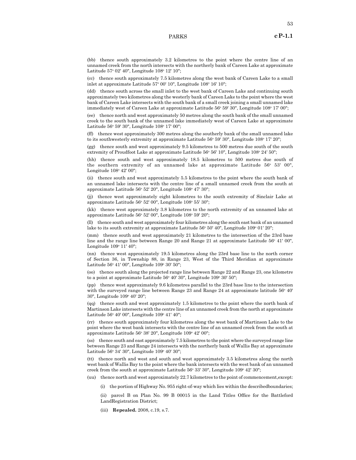(bb) thence south approximately 3.2 kilometres to the point where the centre line of an unnamed creek from the north intersects with the northerly bank of Careen Lake at approximate Latitude 57° 02' 40", Longitude 108° 12' 10";

(cc) thence south approximately 7.5 kilometres along the west bank of Careen Lake to a small inlet at approximate Latitude 57° 00' 10", Longitude 108° 16' 10";

(dd) thence south across the small inlet to the west bank of Careen Lake and continuing south approximately two kilometres along the westerly bank of Careen Lake to the point where the west bank of Careen Lake intersects with the south bank of a small creek joining a small unnamed lake immediately west of Careen Lake at approximate Latitude 56° 59' 30", Longitude 108° 17' 00";

(ee) thence north and west approximately 50 metres along the south bank of the small unnamed creek to the south bank of the unnamed lake immediately west of Careen Lake at approximate Latitude 56° 59' 30", Longitude 108° 17' 00";

(ff) thence west approximately 300 metres along the southerly bank of the small unnamed lake to its southwesterly extremity at approximate Latitude 56° 59' 30", Longitude 108° 17' 20";

(gg) thence south and west approximately 9.5 kilometres to 500 metres due south of the south extremity of Proudfoot Lake at approximate Latitude 56° 56' 10", Longitude 108° 24' 50";

(hh) thence south and west approximately 18.5 kilometres to 500 metres due south of the southern extremity of an unnamed lake at approximate Latitude  $56^{\circ}$   $53'$  00", Longitude 108° 42′ 00";

(ii) thence south and west approximately 5.5 kilometres to the point where the south bank of an unnamed lake intersects with the centre line of a small unnamed creek from the south at approximate Latitude 56° 52' 20", Longitude 108° 47' 30";

(jj) thence west approximately eight kilometres to the south extremity of Sinclair Lake at approximate Latitude 56° 52' 00", Longitude 108° 55' 30";

(kk) thence west approximately 3.8 kilometres to the north extremity of an unnamed lake at approximate Latitude 56° 52' 00", Longitude 108° 59' 20";

(ll) thence south and west approximately four kilometres along the south east bank of an unnamed lake to its south extremity at approximate Latitude 56° 50' 40", Longitude 109° 01' 20";

(mm) thence south and west approximately 21 kilometres to the intersection of the 23rd base line and the range line between Range 20 and Range 21 at approximate Latitude 56° 41' 00", Longitude 109º 11' 40";

(nn) thence west approximately 19.5 kilometres along the 23rd base line to the north corner of Section 36, in Township 88, in Range 23, West of the Third Meridian at approximate Latitude 56° 41' 00", Longitude 109° 30' 50";

(oo) thence south along the projected range line between Range 22 and Range 23, one kilometre to a point at approximate Latitude 56° 40′ 30″, Longitude 109° 30′ 50″;

(pp) thence west approximately 9.6 kilometres parallel to the 23rd base line to the intersection with the surveyed range line between Range 23 and Range 24 at approximate latitude  $56^{\circ}$  40' 30", Longitude 109o 40' 20";

(qq) thence south and west approximately 1.5 kilometres to the point where the north bank of Martinson Lake intersects with the centre line of an unnamed creek from the north at approximate Latitude 56° 40' 00", Longitude 109° 41' 40";

(rr) thence south approximately four kilometres along the west bank of Martinson Lake to the point where the west bank intersects with the centre line of an unnamed creek from the south at approximate Latitude 56° 38' 20", Longitude 109° 42' 00";

(ss) thence south and east approximately 7.5 kilometres to the point where the surveyed range line between Range 23 and Range 24 intersects with the northerly bank of Wallis Bay at approximate Latitude 56° 34' 30", Longitude 109° 40' 30";

(tt) thence north and west and south and west approximately 3.5 kilometres along the north west bank of Wallis Bay to the point where the bank intersects with the west bank of an unnamed creek from the south at approximate Latitude 56° 33′ 30″, Longitude 109° 42′ 30″;

(uu) thence north and west approximately 22.7 kilometres to the point of commencement,except:

(i) the portion of Highway No. 955 right-of-way which lies within the describedboundaries;

(ii) parcel B on Plan No. 99 B 00015 in the Land Titles Office for the Battleford LandRegistration District;

(iii) **Repealed.** 2008, c.19, s.7.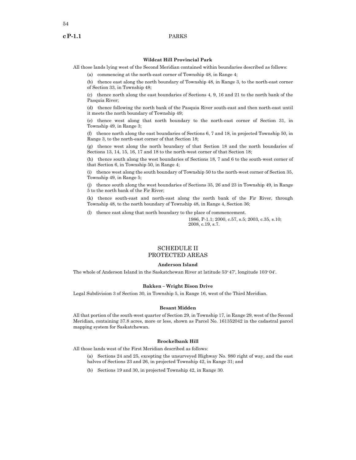#### **Wildcat Hill Provincial Park**

All those lands lying west of the Second Meridian contained within boundaries described as follows:

(a) commencing at the north-east corner of Township 48, in Range 4;

(b) thence east along the north boundary of Township 48, in Range 3, to the north-east corner of Section 33, in Township 48;

(c) thence north along the east boundaries of Sections 4, 9, 16 and 21 to the north bank of the Pasquia River;

(d) thence following the north bank of the Pasquia River south-east and then north-east until it meets the north boundary of Township 49;

(e) thence west along that north boundary to the north-east corner of Section 31, in Township 49, in Range 3;

(f) thence north along the east boundaries of Sections 6, 7 and 18, in projected Township 50, in Range 3, to the north-east corner of that Section 18;

(g) thence west along the north boundary of that Section 18 and the north boundaries of Sections 13, 14, 15, 16, 17 and 18 to the north-west corner of that Section 18;

(h) thence south along the west boundaries of Sections 18, 7 and 6 to the south-west corner of that Section 6, in Township 50, in Range 4;

(i) thence west along the south boundary of Township 50 to the north-west corner of Section 35, Township 49, in Range 5;

(j) thence south along the west boundaries of Sections 35, 26 and 23 in Township 49, in Range 5 to the north bank of the Fir River;

(k) thence south-east and north-east along the north bank of the Fir River, through Township 48, to the north boundary of Township 48, in Range 4, Section 36;

(l) thence east along that north boundary to the place of commencement.

1986, P-1.1; 2000, c.57, s.5; 2003, c.35, s.10; 2008, c.19, s.7.

# SCHEDULE II PROTECTED AREAS

#### **Anderson Island**

The whole of Anderson Island in the Saskatchewan River at latitude 53°47', longitude 103°04'.

### **Bakken – Wright Bison Drive**

Legal Subdivision 3 of Section 30, in Township 5, in Range 16, west of the Third Meridian.

#### **Besant Midden**

All that portion of the south-west quarter of Section 29, in Township 17, in Range 29, west of the Second Meridian, containing 37.8 acres, more or less, shown as Parcel No. 161352042 in the cadastral parcel mapping system for Saskatchewan.

# **Brockelbank Hill**

All those lands west of the First Meridian described as follows:

(a) Sections 24 and 25, excepting the unsurveyed Highway No. 980 right of way, and the east halves of Sections 23 and 26, in projected Township 42, in Range 31; and

(b) Sections 19 and 30, in projected Township 42, in Range 30.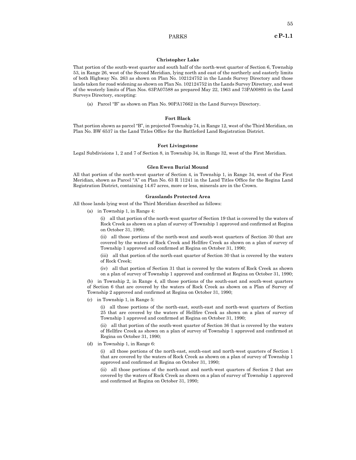55

### **Christopher Lake**

That portion of the south-west quarter and south half of the north-west quarter of Section 6, Township 53, in Range 26, west of the Second Meridian, lying north and east of the northerly and easterly limits of both Highway No. 263 as shown on Plan No. 102124752 in the Lands Survey Directory and those lands taken for road widening as shown on Plan No. 102124752 in the Lands Survey Directory, and west of the westerly limits of Plan Nos. 63PA07588 as prepared May 22, 1963 and 73PA00893 in the Land Surveys Directory, excepting:

(a) Parcel "B" as shown on Plan No. 90PA17662 in the Land Surveys Directory.

### **Fort Black**

That portion shown as parcel "B", in projected Township 74, in Range 12, west of the Third Meridian, on Plan No. BW 6537 in the Land Titles Office for the Battleford Land Registration District.

#### **Fort Livingstone**

Legal Subdivisions 1, 2 and 7 of Section 8, in Township 34, in Range 32, west of the First Meridian.

#### **Glen Ewen Burial Mound**

All that portion of the north-west quarter of Section 4, in Township 1, in Range 34, west of the First Meridian, shown as Parcel "A" on Plan No. 63 R 11241 in the Land Titles Office for the Regina Land Registration District, containing 14.67 acres, more or less, minerals are in the Crown.

#### **Grasslands Protected Area**

All those lands lying west of the Third Meridian described as follows:

(a) in Township 1, in Range 4:

(i) all that portion of the north-west quarter of Section 19 that is covered by the waters of Rock Creek as shown on a plan of survey of Township 1 approved and confirmed at Regina on October 31, 1990;

(ii) all those portions of the north-west and south-west quarters of Section 30 that are covered by the waters of Rock Creek and Hellfire Creek as shown on a plan of survey of Township 1 approved and confirmed at Regina on October 31, 1990;

(iii) all that portion of the north-east quarter of Section 30 that is covered by the waters of Rock Creek;

(iv) all that portion of Section 31 that is covered by the waters of Rock Creek as shown on a plan of survey of Township 1 approved and confirmed at Regina on October 31, 1990;

(b) in Township 2, in Range 4, all those portions of the south-east and south-west quarters of Section 6 that are covered by the waters of Rock Creek as shown on a Plan of Survey of Township 2 approved and confirmed at Regina on October 31, 1990;

(c) in Township 1, in Range 5:

(i) all those portions of the north-east, south-east and north-west quarters of Section 25 that are covered by the waters of Hellfire Creek as shown on a plan of survey of Township 1 approved and confirmed at Regina on October 31, 1990;

(ii) all that portion of the south-west quarter of Section 36 that is covered by the waters of Hellfire Creek as shown on a plan of survey of Township 1 approved and confirmed at Regina on October 31, 1990;

(d) in Township 1, in Range 6:

(i) all those portions of the north-east, south-east and north-west quarters of Section 1 that are covered by the waters of Rock Creek as shown on a plan of survey of Township 1 approved and confirmed at Regina on October 31, 1990;

(ii) all those portions of the north-east and north-west quarters of Section 2 that are covered by the waters of Rock Creek as shown on a plan of survey of Township 1 approved and confirmed at Regina on October 31, 1990;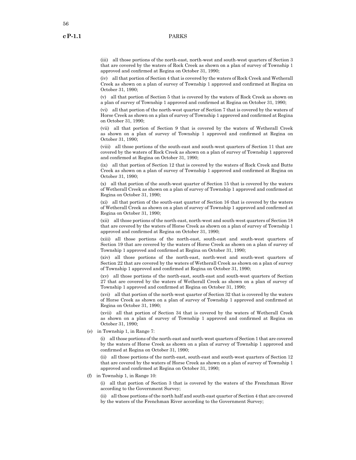(iii) all those portions of the north-east, north-west and south-west quarters of Section 3 that are covered by the waters of Rock Creek as shown on a plan of survey of Township 1 approved and confirmed at Regina on October 31, 1990;

(iv) all that portion of Section 4 that is covered by the waters of Rock Creek and Wetherall Creek as shown on a plan of survey of Township 1 approved and confirmed at Regina on October 31, 1990;

(v) all that portion of Section 5 that is covered by the waters of Rock Creek as shown on a plan of survey of Township 1 approved and confirmed at Regina on October 31, 1990;

(vi) all that portion of the north-west quarter of Section 7 that is covered by the waters of Horse Creek as shown on a plan of survey of Township 1 approved and confirmed at Regina on October 31, 1990;

(vii) all that portion of Section 9 that is covered by the waters of Wetherall Creek as shown on a plan of survey of Township 1 approved and confirmed at Regina on October 31, 1990;

(viii) all those portions of the south-east and south-west quarters of Section 11 that are covered by the waters of Rock Creek as shown on a plan of survey of Township 1 approved and confirmed at Regina on October 31, 1990;

(ix) all that portion of Section 12 that is covered by the waters of Rock Creek and Butte Creek as shown on a plan of survey of Township 1 approved and confirmed at Regina on October 31, 1990;

(x) all that portion of the south-west quarter of Section 15 that is covered by the waters of Wetherall Creek as shown on a plan of survey of Township 1 approved and confirmed at Regina on October 31, 1990;

(xi) all that portion of the south-east quarter of Section 16 that is covered by the waters of Wetherall Creek as shown on a plan of survey of Township 1 approved and confirmed at Regina on October 31, 1990;

(xii) all those portions of the north-east, north-west and south-west quarters of Section 18 that are covered by the waters of Horse Creek as shown on a plan of survey of Township 1 approved and confirmed at Regina on October 31, 1990;

(xiii) all those portions of the north-east, south-east and south-west quarters of Section 19 that are covered by the waters of Horse Creek as shown on a plan of survey of Township 1 approved and confirmed at Regina on October 31, 1990;

(xiv) all those portions of the north-east, north-west and south-west quarters of Section 22 that are covered by the waters of Wetherall Creek as shown on a plan of survey of Township 1 approved and confirmed at Regina on October 31, 1990;

(xv) all those portions of the north-east, south-east and south-west quarters of Section 27 that are covered by the waters of Wetherall Creek as shown on a plan of survey of Township 1 approved and confirmed at Regina on October 31, 1990;

(xvi) all that portion of the north-west quarter of Section 32 that is covered by the waters of Horse Creek as shown on a plan of survey of Township 1 approved and confirmed at Regina on October 31, 1990;

(xvii) all that portion of Section 34 that is covered by the waters of Wetherall Creek as shown on a plan of survey of Township 1 approved and confirmed at Regina on October 31, 1990;

(e) in Township 1, in Range 7:

(i) all those portions of the north-east and north-west quarters of Section 1 that are covered by the waters of Horse Creek as shown on a plan of survey of Township 1 approved and confirmed at Regina on October 31, 1990;

(ii) all those portions of the north-east, south-east and south-west quarters of Section 12 that are covered by the waters of Horse Creek as shown on a plan of survey of Township 1 approved and confirmed at Regina on October 31, 1990;

(f) in Township 1, in Range 10:

(i) all that portion of Section 3 that is covered by the waters of the Frenchman River according to the Government Survey;

(ii) all those portions of the north half and south-east quarter of Section 4 that are covered by the waters of the Frenchman River according to the Government Survey;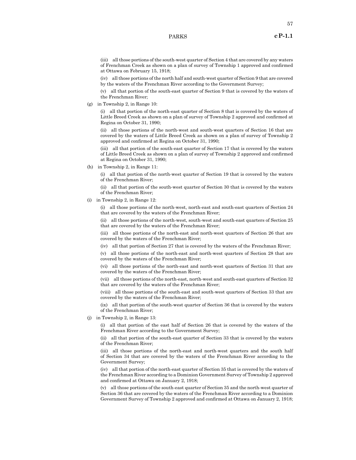(iii) all those portions of the south-west quarter of Section 4 that are covered by any waters of Frenchman Creek as shown on a plan of survey of Township 1 approved and confirmed at Ottawa on February 15, 1918;

(iv) all those portions of the north half and south-west quarter of Section 9 that are covered by the waters of the Frenchman River according to the Government Survey;

(v) all that portion of the south-east quarter of Section 9 that is covered by the waters of the Frenchman River;

(g) in Township 2, in Range 10:

(i) all that portion of the north-east quarter of Section 8 that is covered by the waters of Little Breed Creek as shown on a plan of survey of Township 2 approved and confirmed at Regina on October 31, 1990;

(ii) all those portions of the north-west and south-west quarters of Section 16 that are covered by the waters of Little Breed Creek as shown on a plan of survey of Township 2 approved and confirmed at Regina on October 31, 1990;

(iii) all that portion of the south-east quarter of Section 17 that is covered by the waters of Little Breed Creek as shown on a plan of survey of Township 2 approved and confirmed at Regina on October 31, 1990;

(h) in Township 2, in Range 11:

(i) all that portion of the north-west quarter of Section 19 that is covered by the waters of the Frenchman River;

(ii) all that portion of the south-west quarter of Section 30 that is covered by the waters of the Frenchman River;

(i) in Township 2, in Range 12:

(i) all those portions of the north-west, north-east and south-east quarters of Section 24 that are covered by the waters of the Frenchman River;

(ii) all those portions of the north-west, south-west and south-east quarters of Section 25 that are covered by the waters of the Frenchman River;

(iii) all those portions of the north-east and north-west quarters of Section 26 that are covered by the waters of the Frenchman River;

(iv) all that portion of Section 27 that is covered by the waters of the Frenchman River;

(v) all those portions of the north-east and north-west quarters of Section 28 that are covered by the waters of the Frenchman River;

(vi) all those portions of the north-east and north-west quarters of Section 31 that are covered by the waters of the Frenchman River;

(vii) all those portions of the north-east, north-west and south-east quarters of Section 32 that are covered by the waters of the Frenchman River;

(viii) all those portions of the south-east and south-west quarters of Section 33 that are covered by the waters of the Frenchman River;

(ix) all that portion of the south-west quarter of Section 36 that is covered by the waters of the Frenchman River;

(j) in Township 2, in Range 13:

(i) all that portion of the east half of Section 26 that is covered by the waters of the Frenchman River according to the Government Survey;

(ii) all that portion of the south-east quarter of Section 33 that is covered by the waters of the Frenchman River;

(iii) all those portions of the north-east and north-west quarters and the south half of Section 34 that are covered by the waters of the Frenchman River according to the Government Survey;

(iv) all that portion of the north-east quarter of Section 35 that is covered by the waters of the Frenchman River according to a Dominion Government Survey of Township 2 approved and confirmed at Ottawa on January 2, 1918;

(v) all those portions of the south-east quarter of Section 35 and the north-west quarter of Section 36 that are covered by the waters of the Frenchman River according to a Dominion Government Survey of Township 2 approved and confirmed at Ottawa on January 2, 1918;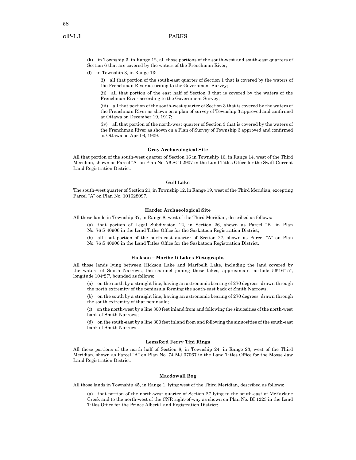(k) in Township 3, in Range 12, all those portions of the south-west and south-east quarters of Section 6 that are covered by the waters of the Frenchman River;

(l) in Township 3, in Range 13:

(i) all that portion of the south-east quarter of Section 1 that is covered by the waters of the Frenchman River according to the Government Survey;

(ii) all that portion of the east half of Section 3 that is covered by the waters of the Frenchman River according to the Government Survey;

(iii) all that portion of the south-west quarter of Section 3 that is covered by the waters of the Frenchman River as shown on a plan of survey of Township 3 approved and confirmed at Ottawa on December 19, 1917;

(iv) all that portion of the north-west quarter of Section 3 that is covered by the waters of the Frenchman River as shown on a Plan of Survey of Township 3 approved and confirmed at Ottawa on April 6, 1909.

#### **Gray Archaeological Site**

All that portion of the south-west quarter of Section 16 in Township 16, in Range 14, west of the Third Meridian, shown as Parcel "A" on Plan No. 76 SC 02907 in the Land Titles Office for the Swift Current Land Registration District.

# **Gull Lake**

The south-west quarter of Section 21, in Township 12, in Range 19, west of the Third Meridian, excepting Parcel "A" on Plan No. 101628097.

# **Harder Archaeological Site**

All those lands in Township 37, in Range 8, west of the Third Meridian, described as follows:

- (a) that portion of Legal Subdivision 12, in Section 26, shown as Parcel "B" in Plan No. 76 S 40906 in the Land Titles Office for the Saskatoon Registration District;
- (b) all that portion of the north-east quarter of Section 27, shown as Parcel "A" on Plan No. 76 S 40906 in the Land Titles Office for the Saskatoon Registration District.
	-

# **Hickson – Maribelli Lakes Pictographs**

All those lands lying between Hickson Lake and Maribelli Lake, including the land covered by the waters of Smith Narrows, the channel joining those lakes, approximate latitude 56°16'15", longitude 104°27', bounded as follows:

(a) on the north by a straight line, having an astronomic bearing of 270 degrees, drawn through the north extremity of the peninsula forming the south-east back of Smith Narrows;

(b) on the south by a straight line, having an astronomic bearing of 270 degrees, drawn through the south extremity of that peninsula;

(c) on the north-west by a line 300 feet inland from and following the sinuosities of the north-west bank of Smith Narrows;

(d) on the south-east by a line 300 feet inland from and following the sinuosities of the south-east bank of Smith Narrows.

### **Lemsford Ferry Tipi Rings**

All those portions of the north half of Section 8, in Township 24, in Range 23, west of the Third Meridian, shown as Parcel "A" on Plan No. 74 MJ 07067 in the Land Titles Office for the Moose Jaw Land Registration District.

#### **Macdowall Bog**

All those lands in Township 45, in Range 1, lying west of the Third Meridian, described as follows:

(a) that portion of the north-west quarter of Section 27 lying to the south-east of McFarlane Creek and to the north-west of the CNR right-of-way as shown on Plan No. BI 1223 in the Land Titles Office for the Prince Albert Land Registration District;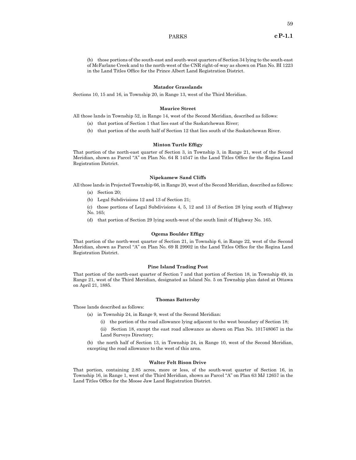59

(b) those portions of the south-east and south-west quarters of Section 34 lying to the south-east of McFarlane Creek and to the north-west of the CNR right-of-way as shown on Plan No. BI 1223 in the Land Titles Office for the Prince Albert Land Registration District.

### **Matador Grasslands**

Sections 10, 15 and 16, in Township 20, in Range 13, west of the Third Meridian.

#### **Maurice Street**

All those lands in Township 52, in Range 14, west of the Second Meridian, described as follows:

- (a) that portion of Section 1 that lies east of the Saskatchewan River;
- (b) that portion of the south half of Section 12 that lies south of the Saskatchewan River.

#### **Minton Turtle Effigy**

That portion of the north-east quarter of Section 3, in Township 3, in Range 21, west of the Second Meridian, shown as Parcel "A" on Plan No. 64 R 14547 in the Land Titles Office for the Regina Land Registration District.

#### **Nipekamew Sand Cliffs**

All those lands in Projected Township 66, in Range 20, west of the Second Meridian, described as follows:

- (a) Section 20;
- (b) Legal Subdivisions 12 and 13 of Section 21;
- (c) those portions of Legal Subdivisions 4, 5, 12 and 13 of Section 28 lying south of Highway No. 165;
- (d) that portion of Section 29 lying south-west of the south limit of Highway No. 165.

#### **Ogema Boulder Effigy**

That portion of the north-west quarter of Section 21, in Township 6, in Range 22, west of the Second Meridian, shown as Parcel "A" on Plan No. 69 R 29902 in the Land Titles Office for the Regina Land Registration District.

#### **Pine Island Trading Post**

That portion of the north-east quarter of Section 7 and that portion of Section 18, in Township 49, in Range 21, west of the Third Meridian, designated as Island No. 5 on Township plan dated at Ottawa on April 21, 1885.

#### **Thomas Battersby**

Those lands described as follows:

- (a) in Township 24, in Range 9, west of the Second Meridian:
	- (i) the portion of the road allowance lying adjacent to the west boundary of Section 18;

(ii) Section 18, except the east road allowance as shown on Plan No. 101748067 in the Land Surveys Directory;

(b) the north half of Section 13, in Township 24, in Range 10, west of the Second Meridian, excepting the road allowance to the west of this area.

### **Walter Felt Bison Drive**

That portion, containing 2.85 acres, more or less, of the south-west quarter of Section 16, in Township 16, in Range 1, west of the Third Meridian, shown as Parcel "A" on Plan 63 MJ 12657 in the Land Titles Office for the Moose Jaw Land Registration District.